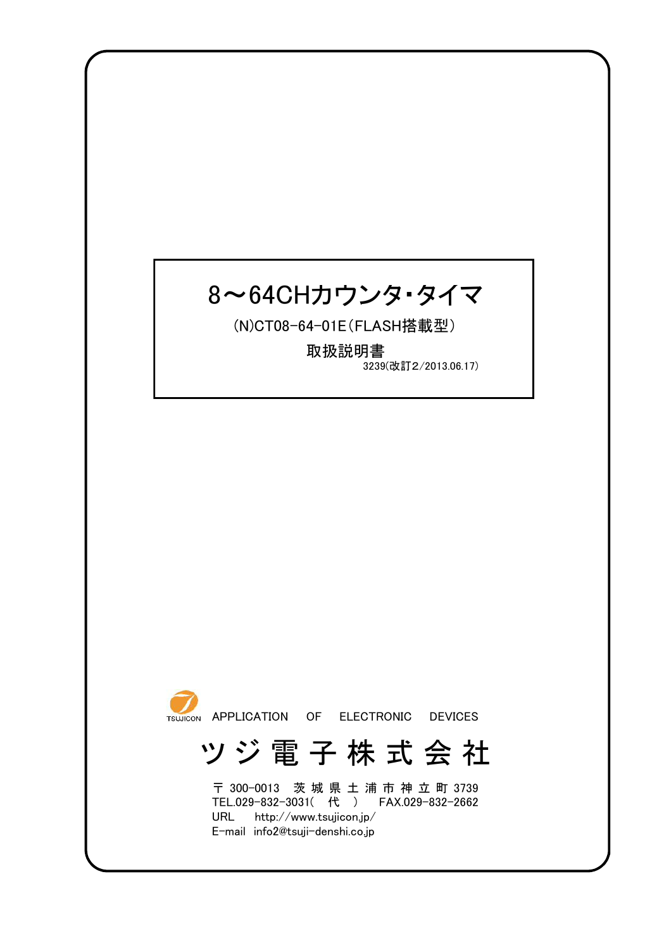# 8~64CHカウンタ・タイマ

(N)CT08-64-01E(FLASH搭載型)

3239(改訂2/2013.06.17) 取扱説明書



# ツ ジ 電 子 株 式 会 社

URL http://www.tsujicon.jp/ E-mail info2@tsuji-denshi.co.jp 〒 300-0013 茨 城 県 土 浦 市 神 立 町 3739 TEL.029-832-3031( 代 ) FAX.029-832-2662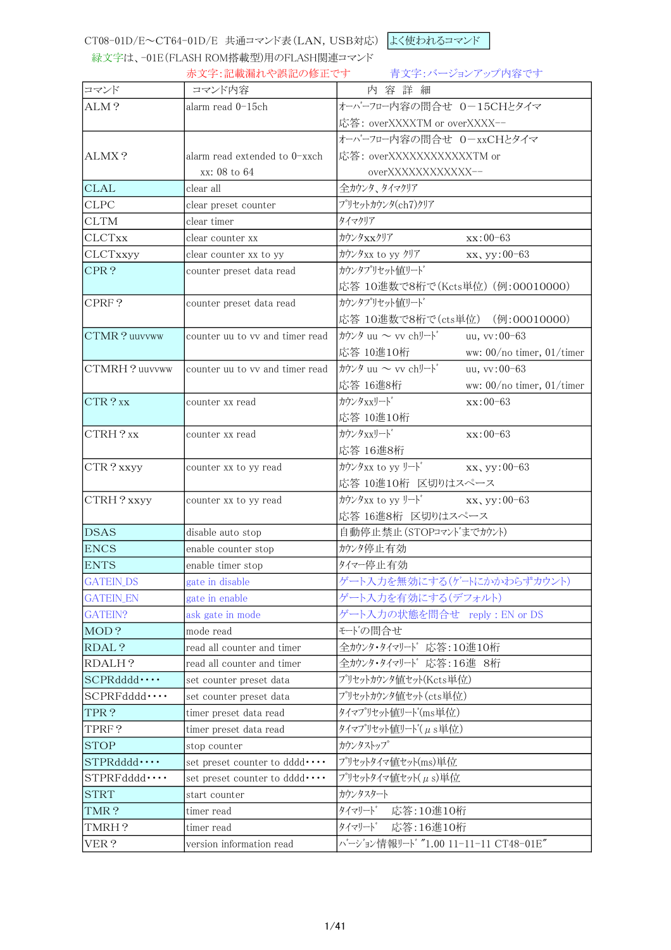CT08-01D/E~CT64-01D/E 共通コマンド表(LAN,USB対応) よく使われるコマンド

緑文字は、-01E(FLASH ROM搭載型)用のFLASH関連コマンド

赤文字:記載漏れや誤記の修正です 青文字:バージョンアップ内容です

| コマンド               | コマンド内容                          | 内容詳細                                                                                                                                                                                                                                                                                                                |
|--------------------|---------------------------------|---------------------------------------------------------------------------------------------------------------------------------------------------------------------------------------------------------------------------------------------------------------------------------------------------------------------|
| ALM?               | alarm read 0-15ch               | オーバーフロー内容の問合せ 0-15CHとタイマ                                                                                                                                                                                                                                                                                            |
|                    |                                 | 応答: overXXXXTM or overXXXX--                                                                                                                                                                                                                                                                                        |
|                    |                                 | オーバーフロー内容の問合せ 0-xxCHとタイマ                                                                                                                                                                                                                                                                                            |
| ALMX?              | alarm read extended to 0-xxch   | 応答: overXXXXXXXXXXXXTM or                                                                                                                                                                                                                                                                                           |
|                    | xx: 08 to 64                    | overXXXXXXXXXXX--                                                                                                                                                                                                                                                                                                   |
| <b>CLAL</b>        | clear all                       | 全カウンタ、タイマクリア                                                                                                                                                                                                                                                                                                        |
| <b>CLPC</b>        | clear preset counter            | プリセットカウンタ(ch7)クリア                                                                                                                                                                                                                                                                                                   |
| <b>CLTM</b>        | clear timer                     | タイマクリア                                                                                                                                                                                                                                                                                                              |
| <b>CLCTxx</b>      | clear counter xx                | カウンタxxクリア<br>xx:00-63                                                                                                                                                                                                                                                                                               |
| CLCTxxyy           | clear counter xx to yy          | カウンタxx to yy クリア<br>xx, yy:00-63                                                                                                                                                                                                                                                                                    |
| CPR?               | counter preset data read        | カウンタプリセット値リート                                                                                                                                                                                                                                                                                                       |
|                    |                                 | 応答 10進数で8桁で(Kcts単位) (例:00010000)                                                                                                                                                                                                                                                                                    |
| CPRF?              | counter preset data read        | かウンタプリセット値リート                                                                                                                                                                                                                                                                                                       |
|                    |                                 | 応答 10進数で8桁で(cts単位) (例:00010000)                                                                                                                                                                                                                                                                                     |
| CTMR? uuvvww       | counter uu to vv and timer read | カウンタ uu ~ vv chリート゛<br>uu, vv:00-63                                                                                                                                                                                                                                                                                 |
|                    |                                 | 応答 10進10桁<br>ww: $00/no$ timer, $01/timer$                                                                                                                                                                                                                                                                          |
| CTMRH?uuvvww       | counter uu to vv and timer read | カウンタ uu ~ vv chリート<br>uu, vv:00-63                                                                                                                                                                                                                                                                                  |
|                    |                                 | 応答 16進8桁<br>ww: $00/no$ timer, $01/timer$                                                                                                                                                                                                                                                                           |
| CTR?xx             | counter xx read                 | カウンタxxリート<br>$xx:00-63$                                                                                                                                                                                                                                                                                             |
|                    |                                 | 応答 10進10桁                                                                                                                                                                                                                                                                                                           |
| CTRH?xx            | counter xx read                 | カウンタxxリート<br>$xx:00-63$                                                                                                                                                                                                                                                                                             |
|                    |                                 | 応答 16進8桁                                                                                                                                                                                                                                                                                                            |
| CTR? xxyy          | counter xx to yy read           | カウンタxx to yy リート<br>$XX$ , yy: 00-63                                                                                                                                                                                                                                                                                |
|                    |                                 | 応答 10進10桁 区切りはスペース                                                                                                                                                                                                                                                                                                  |
| CTRH? xxyy         | counter xx to yy read           | $\frac{1}{2}$ $\frac{1}{2}$ $\frac{1}{2}$ $\frac{1}{2}$ $\frac{1}{2}$ $\frac{1}{2}$ $\frac{1}{2}$ $\frac{1}{2}$ $\frac{1}{2}$ $\frac{1}{2}$ $\frac{1}{2}$ $\frac{1}{2}$ $\frac{1}{2}$ $\frac{1}{2}$ $\frac{1}{2}$ $\frac{1}{2}$ $\frac{1}{2}$ $\frac{1}{2}$ $\frac{1}{2}$ $\frac{1}{2}$ $\frac{1}{2}$ $\frac{1}{2}$ |
|                    |                                 | 応答 16進8桁 区切りはスペース                                                                                                                                                                                                                                                                                                   |
| <b>DSAS</b>        | disable auto stop               | 自動停止禁止(STOPコマント'までカウント)                                                                                                                                                                                                                                                                                             |
| <b>ENCS</b>        | enable counter stop             | カウンタ停止有効                                                                                                                                                                                                                                                                                                            |
| <b>ENTS</b>        | enable timer stop               | 外々一停止有効                                                                                                                                                                                                                                                                                                             |
| <b>GATEIN_DS</b>   | gate in disable                 | ゲート入力を無効にする(ゲートにかかわらずカウント)                                                                                                                                                                                                                                                                                          |
| <b>GATEIN_EN</b>   | gate in enable                  | ゲート入力を有効にする(デフォルト)                                                                                                                                                                                                                                                                                                  |
| GATEIN?            | ask gate in mode                | ゲート入力の状態を問合せ reply: EN or DS                                                                                                                                                                                                                                                                                        |
| MOD?               | mode read                       | モードの間合せ                                                                                                                                                                                                                                                                                                             |
| RDAL?              | read all counter and timer      | 全カウンタ・タイマリード 応答:10進10桁                                                                                                                                                                                                                                                                                              |
| RDALH?             | read all counter and timer      | 全カウンタ・タイマリード 応答:16進 8桁                                                                                                                                                                                                                                                                                              |
| SCPRddd            | set counter preset data         | プリセットカウンタ値セット(Kets単位)                                                                                                                                                                                                                                                                                               |
| SCPRFddd           | set counter preset data         | プリセットカウンタ値セット(cts単位)                                                                                                                                                                                                                                                                                                |
| TPR?               | timer preset data read          | タイマプリセット値リート(ms単位)                                                                                                                                                                                                                                                                                                  |
| TPRF?              | timer preset data read          | タイマプリセット値リード( $\mu$ s単位)                                                                                                                                                                                                                                                                                            |
| <b>STOP</b>        | stop counter                    | カウンタストップ                                                                                                                                                                                                                                                                                                            |
| STPRddd            | set preset counter to dddd      | プリセットタイマ値セット(ms)単位                                                                                                                                                                                                                                                                                                  |
| $STPRFdddd \cdots$ | set preset counter to dddd      | プリセットタイマ値セット(μs)単位                                                                                                                                                                                                                                                                                                  |
| <b>STRT</b>        | start counter                   | カウンタスタート                                                                                                                                                                                                                                                                                                            |
| TMR?               | timer read                      | タイマリート<br>応答:10進10桁                                                                                                                                                                                                                                                                                                 |
| TMRH?              | timer read                      | タイマリート゛<br>応答:16進10桁                                                                                                                                                                                                                                                                                                |
| VER?               | version information read        | バージョン情報リード "1.00 11-11-11 CT48-01E"                                                                                                                                                                                                                                                                                 |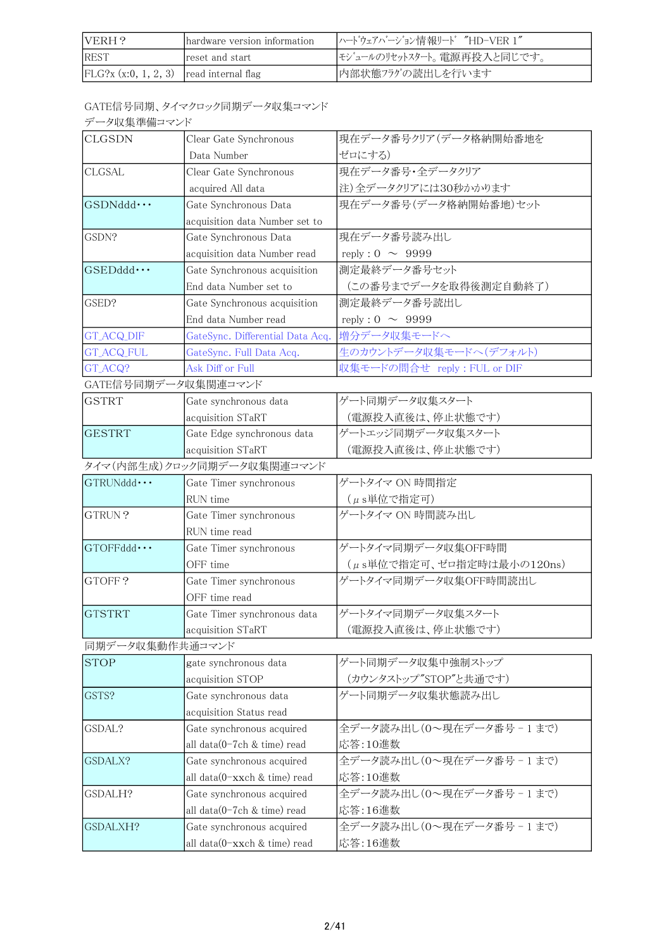| IVERH?                                    | hardware version information | ハート゛ウェアハ゛ーシ゛ョン情報リート゛ "HD-VER 1" |
|-------------------------------------------|------------------------------|---------------------------------|
| <b>IREST</b>                              | reset and start              | セジュールのリセットスタート。電源再投入と同じです。      |
| $FLG?x (x:0, 1, 2, 3)$ read internal flag |                              | 内部状態フラグの読出しを行います                |

GATE信号同期、タイマクロック同期データ収集コマンド

|  | データ収集準備コマンド |
|--|-------------|
|--|-------------|

| <b>CLGSDN</b>       | Clear Gate Synchronous           | 現在データ番号クリア(データ格納開始番地を        |
|---------------------|----------------------------------|------------------------------|
|                     | Data Number                      | ゼロにする)                       |
| <b>CLGSAL</b>       | Clear Gate Synchronous           | 現在データ番号·全データクリア              |
|                     | acquired All data                | 注)全データクリアには30秒かかります          |
| $GSDNddd \cdots$    | Gate Synchronous Data            | 現在データ番号(データ格納開始番地)セット        |
|                     | acquisition data Number set to   |                              |
| GSDN?               | Gate Synchronous Data            | 現在データ番号読み出し                  |
|                     | acquisition data Number read     | reply : $0 \sim 9999$        |
| GSEDddd ···         | Gate Synchronous acquisition     | 測定最終データ番号セット                 |
|                     | End data Number set to           | (この番号までデータを取得後測定自動終了)        |
| GSED?               | Gate Synchronous acquisition     | 測定最終データ番号読出し                 |
|                     | End data Number read             | reply : $0 \sim 9999$        |
| <b>GT_ACQ_DIF</b>   | GateSync. Differential Data Acq. | 増分データ収集モードへ                  |
| <b>GT_ACQ_FUL</b>   | GateSync. Full Data Acq.         | 生のカウントデータ収集モードへ(デフォルト)       |
| GT_ACQ?             | Ask Diff or Full                 | 収集モードの間合せ reply : FUL or DIF |
| GATE信号同期データ収集関連コマンド |                                  |                              |
| <b>GSTRT</b>        | Gate synchronous data            | ゲート同期データ収集スタート               |
|                     | acquisition STaRT                | (電源投入直後は、停止状態です)             |
| <b>GESTRT</b>       | Gate Edge synchronous data       | ゲートエッジ同期データ収集スタート            |
|                     | acquisition STaRT                | (電源投入直後は、停止状態です)             |
|                     | タイマ(内部生成)クロック同期データ収集関連コマンド       |                              |
| GTRUNddd · · ·      | Gate Timer synchronous           | ゲートタイマ ON 時間指定               |
|                     | RUN time                         | (µs単位で指定可)                   |
| GTRUN?              | Gate Timer synchronous           | ゲートタイマ ON 時間読み出し             |
|                     | RUN time read                    |                              |
| $GTOFFddd\cdots$    | Gate Timer synchronous           | ゲートタイマ同期データ収集OFF時間           |
|                     | OFF time                         | (µs単位で指定可、ゼロ指定時は最小の120ns)    |
| GTOFF?              | Gate Timer synchronous           | ゲートタイマ同期データ収集OFF時間読出し        |
|                     | OFF time read                    |                              |
| <b>GTSTRT</b>       | Gate Timer synchronous data      | ゲートタイマ同期データ収集スタート            |
|                     | acquisition STaRT                | (電源投入直後は、停止状態です)             |
| 同期データ収集動作共通コマンド     |                                  |                              |
| <b>STOP</b>         | gate synchronous data            | ゲート同期データ収集中強制ストップ            |
|                     | acquisition STOP                 | (カウンタストップ"STOP"と共通です)        |
| GSTS?               | Gate synchronous data            | ゲート同期データ収集状態読み出し             |
|                     | acquisition Status read          |                              |
| GSDAL?              | Gate synchronous acquired        | 全データ読み出し(0~現在データ番号-1まで)      |
|                     | all data(0-7ch & time) read      | 応答:10進数                      |
| GSDALX?             | Gate synchronous acquired        | 全データ読み出し(0~現在データ番号-1まで)      |
|                     | all data(0-xxch & time) read     | 応答:10進数                      |
| GSDALH?             | Gate synchronous acquired        | 全データ読み出し(0~現在データ番号-1まで)      |
|                     | all data(0-7ch & time) read      | 応答:16進数                      |
| GSDALXH?            | Gate synchronous acquired        | 全データ読み出し(0~現在データ番号-1まで)      |
|                     | all data(0-xxch & time) read     | 応答:16進数                      |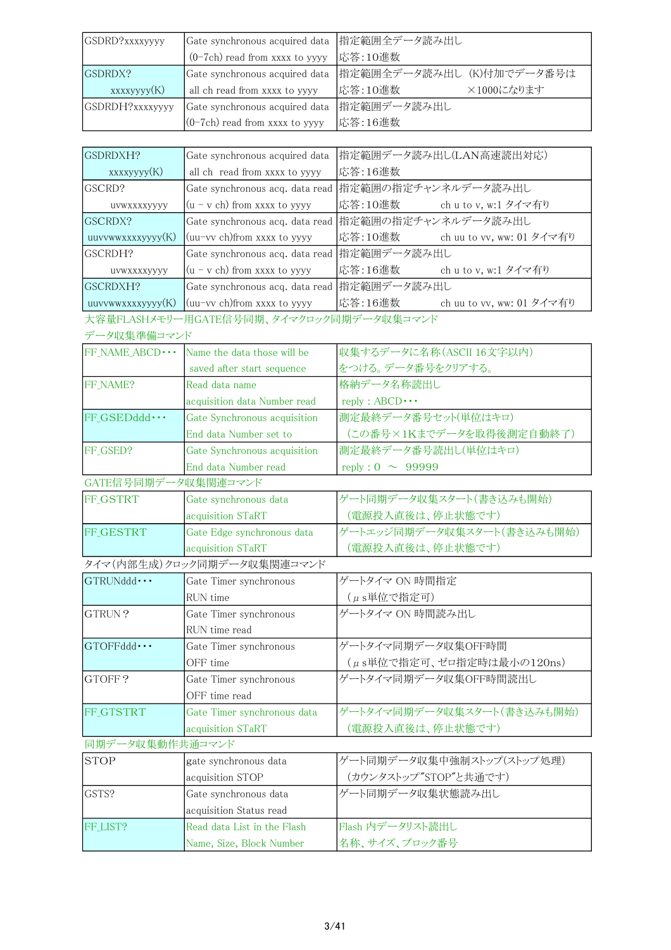| GSDRD?xxxxyyyy  | Gate synchronous acquired data  指定範囲全データ読み出し |                                                           |
|-----------------|----------------------------------------------|-----------------------------------------------------------|
|                 | $(0-7ch)$ read from xxxx to yyyy             | 応答:10進数                                                   |
| GSDRDX?         |                                              | Gate synchronous acquired data  指定範囲全データ読み出し (K)付加でデータ番号は |
| xxxxyyyy(K)     | all ch read from xxxx to yyyy                | 応答:10進数<br>×1000になります                                     |
| GSDRDH?xxxxyyyy | Gate synchronous acquired data  指定範囲データ読み出し  |                                                           |
|                 | $(0-7ch)$ read from xxxx to yyyy             | 応答:16進数                                                   |

| GSDRDXH?          | Gate synchronous acquired data              | 指定範囲データ読み出し(LAN高速読出対応)                              |
|-------------------|---------------------------------------------|-----------------------------------------------------|
|                   |                                             |                                                     |
| xxxxyyyy(K)       | all ch read from xxxx to yyyy               | 応答:16進数                                             |
| <b>GSCRD?</b>     |                                             | Gate synchronous acq. data read 指定範囲の指定チャンネルデータ読み出し |
| UVWXXXXVVVV       | $(u - v ch)$ from xxxx to yyyy              | 応答:10進数<br>ch u to v, w:1 タイマ有り                     |
| <b>GSCRDX?</b>    |                                             | Gate synchronous acq. data read 指定範囲の指定チャンネルデータ読み出し |
| uuvvwwxxxxyyyy(K) | (uu-vv ch)from xxxx to yyyy                 | 応答:10進数<br>ch uu to vv, ww: 01 タイマ有り                |
| lgscrdh?          | Gate synchronous acq. data read 指定範囲データ読み出し |                                                     |
| UVWXXXXVVVV       | $(u - v ch)$ from xxxx to yyyy              | 応答:16進数<br>ch u to v, w:1 タイマ有り                     |
| <b>GSCRDXH?</b>   | Gate synchronous acq. data read 指定範囲データ読み出し |                                                     |
| uuvvwwxxxxyyyy(K) | $\mu$ (uu–vv ch) from xxxx to yyyy          | 応答:16進数<br>ch uu to vv, ww: 01 タイマ有り                |
|                   |                                             |                                                     |

大容量FLASHメモリー用GATE信号同期、タイマクロック同期データ収集コマンド

| データ収集準備コマンド                |                              |                            |
|----------------------------|------------------------------|----------------------------|
| FF_NAME_ABCD · · ·         | Name the data those will be  | 収集するデータに名称(ASCII 16文字以内)   |
|                            | saved after start sequence   | をつける。データ番号をクリアする。          |
| FF NAME?                   | Read data name               | 格納データ名称読出し                 |
|                            | acquisition data Number read | $reply : ABCD \cdots$      |
| $FF GSEDddd \cdots$        | Gate Synchronous acquisition | 測定最終データ番号セット(単位はキロ)        |
|                            | End data Number set to       | (この番号×1Kまでデータを取得後測定自動終了)   |
| FF GSED?                   | Gate Synchronous acquisition | 測定最終データ番号読出し(単位はキロ)        |
|                            | End data Number read         | reply : $0 \sim 999999$    |
| GATE信号同期データ収集関連コマンド        |                              |                            |
| <b>FF GSTRT</b>            | Gate synchronous data        | ゲート同期データ収集スタート(書き込みも開始)    |
|                            | acquisition STaRT            | (電源投入直後は、停止状態です)           |
| FF GESTRT                  | Gate Edge synchronous data   | ゲートエッジ同期データ収集スタート(書き込みも開始) |
|                            | acquisition STaRT            | (電源投入直後は、停止状態です)           |
| タイマ(内部生成)クロック同期データ収集関連コマンド |                              |                            |

| $\mathsf{IGTRUNddd} \cdots$ | Gate Timer synchronous      | ゲートタイマ ON 時間指定             |
|-----------------------------|-----------------------------|----------------------------|
|                             | RUN time                    | (µs単位で指定可)                 |
| lgtrun?                     | Gate Timer synchronous      | ゲートタイマ ON 時間読み出し           |
|                             | RUN time read               |                            |
| $ $ GTOFFddd $\cdots$       | Gate Timer synchronous      | ゲートタイマ同期データ収集OFF時間         |
|                             | OFF time                    | (μs単位で指定可、ゼロ指定時は最小の120ns)  |
| GTOFF?                      | Gate Timer synchronous      | ゲートタイマ同期データ収集OFF時間読出し      |
|                             | OFF time read               |                            |
| <b>FF GTSTRT</b>            | Gate Timer synchronous data | ゲートタイマ同期データ収集スタート(書き込みも開始) |
|                             | acquisition STaRT           | (電源投入直後は、停止状態です)           |
| 同期データ収集動作共通コマンド             |                             |                            |
| <b>STOP</b>                 | gate synchronous data       | ゲート同期データ収集中強制ストップ(ストップ処理)  |
|                             | acquisition STOP            | (カウンタストップ"STOP"と共通です)      |
| GSTS?                       | Gate synchronous data       | ゲート同期データ収集状態読み出し           |
|                             | acquisition Status read     |                            |
| FF_LIST?                    | Read data List in the Flash | Flash 内データリスト読出し           |
|                             | Name, Size, Block Number    | 名称、サイズ、ブロック番号              |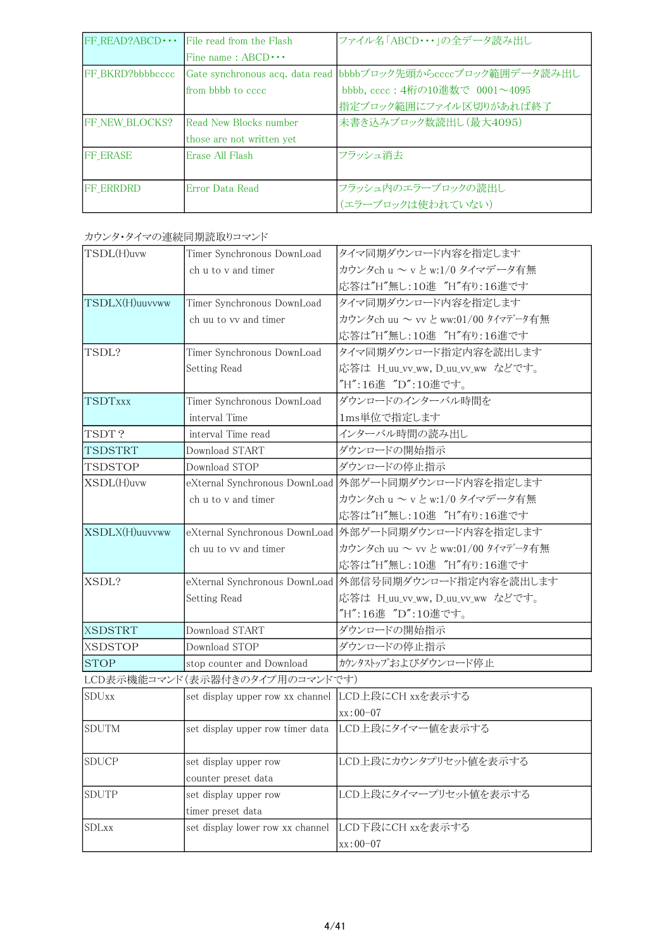| $FF$ READ?ABCD $\cdots$ | File read from the Flash  | ファイル名「ABCD・・・」の全データ読み出し                                       |
|-------------------------|---------------------------|---------------------------------------------------------------|
|                         | Fine name: $ABCD \cdots$  |                                                               |
| FF BKRD?bbbbcccc        |                           | Gate synchronous acq. data read bbbbブロック先頭からccccブロック範囲データ読み出し |
|                         | from bbbb to cccc.        | bbbb, cccc: 4桁の10進数で 0001~4095                                |
|                         |                           | 指定ブロック範囲にファイル区切りがあれば終了                                        |
| <b>IFF NEW BLOCKS?</b>  | Read New Blocks number    | 未書き込みブロック数読出し(最大4095)                                         |
|                         | those are not written yet |                                                               |
| <b>FF ERASE</b>         | Erase All Flash           | フラッシュ消去                                                       |
|                         |                           |                                                               |
| <b>IFF ERRDRD</b>       | Error Data Read           | フラッシュ内のエラーブロックの読出し                                            |
|                         |                           | (エラーブロックは使われていない)                                             |

| カウンタ・タイマの連続同期読取りコマンド |  |
|----------------------|--|
|                      |  |

| TSDL(H)uvw                     | Timer Synchronous DownLoad                        | タイマ同期ダウンロード内容を指定します                                  |
|--------------------------------|---------------------------------------------------|------------------------------------------------------|
|                                | ch u to y and timer                               | カウンタch u ~ v と w:1/0 タイマデータ有無                        |
|                                |                                                   | 応答は"H"無し:10進 "H"有り:16進です                             |
| TSDLX(H)uuvvww                 | Timer Synchronous DownLoad                        | タイマ同期ダウンロード内容を指定します                                  |
|                                | ch uu to vy and timer                             | カウンタch uu ~ vv と ww:01/00 タイマデータ有無                   |
|                                |                                                   | 応答は"H"無し:10進 "H"有り:16進です                             |
| TSDL?                          | Timer Synchronous DownLoad                        | タイマ同期ダウンロード指定内容を読出します                                |
|                                | Setting Read                                      | 応答は H_uu_vv_ww, D_uu_vv_ww などです。                     |
|                                |                                                   | "H":16進 "D":10進です。                                   |
| TSDTxxx                        | Timer Synchronous DownLoad                        | ダウンロードのインターバル時間を                                     |
|                                | interval Time                                     | 1ms単位で指定します                                          |
| TSDT?                          | interval Time read                                | インターバル時間の読み出し                                        |
| TSDSTRT                        | Download START                                    | ダウンロードの開始指示                                          |
| TSDSTOP                        | Download STOP                                     | ダウンロードの停止指示                                          |
| XSDL(H)uvw                     |                                                   | eXternal Synchronous DownLoad 外部ゲート同期ダウンロード内容を指定します  |
|                                | ch u to y and timer                               | カウンタch u ~ v と w:1/0 タイマデータ有無                        |
|                                |                                                   | 応答は"H"無し:10進 "H"有り:16進です                             |
| XSDLX(H)uuvvww                 |                                                   | eXternal Synchronous DownLoad 外部ゲート同期ダウンロード内容を指定します  |
|                                | ch uu to vv and timer                             | カウンタch uu ~ vv と ww:01/00 タイマデータ有無                   |
|                                |                                                   | 応答は"H"無し:10進 "H"有り:16進です                             |
| XSDL?                          |                                                   | eXternal Synchronous DownLoad 外部信号同期ダウンロード指定内容を読出します |
|                                | Setting Read                                      | 応答は H_uu_vv_ww, D_uu_vv_ww などです。                     |
|                                |                                                   | "H":16進 "D":10進です。                                   |
| <b>XSDSTRT</b>                 | Download START                                    | ダウンロードの開始指示                                          |
| <b>XSDSTOP</b>                 | Download STOP                                     | ダウンロードの停止指示                                          |
| <b>STOP</b>                    | stop counter and Download                         | カウンタストップおよびダウンロード停止                                  |
| LCD表示機能コマンド(表示器付きのタイプ用のコマンドです) |                                                   |                                                      |
| <b>SDUxx</b>                   | set display upper row xx channel LCD上段にCH xxを表示する |                                                      |
|                                |                                                   | $xx:00-07$                                           |
| <b>SDUTM</b>                   |                                                   | set display upper row timer data LCD上段にタイマー値を表示する    |
|                                |                                                   |                                                      |
| <b>SDUCP</b>                   | set display upper row                             | LCD上段にカウンタプリセット値を表示する                                |
|                                | counter preset data                               |                                                      |
| <b>SDUTP</b>                   | set display upper row                             | LCD上段にタイマープリセット値を表示する                                |
|                                | timer preset data                                 |                                                      |
| <b>SDLxx</b>                   | set display lower row xx channel                  | LCD下段にCH xxを表示する                                     |
|                                |                                                   | xx:00-07                                             |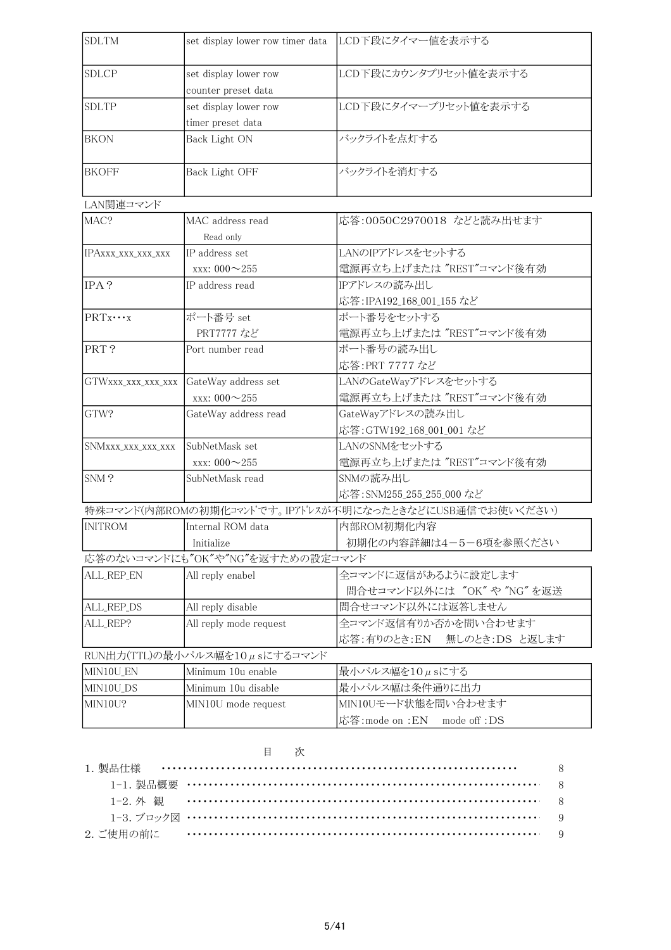| <b>SDLTM</b>                  | set display lower row timer data               | LCD下段にタイマー値を表示する                                                                     |  |
|-------------------------------|------------------------------------------------|--------------------------------------------------------------------------------------|--|
| <b>SDLCP</b>                  | set display lower row                          | LCD下段にカウンタプリセット値を表示する                                                                |  |
|                               | counter preset data                            |                                                                                      |  |
| <b>SDLTP</b>                  | set display lower row                          | LCD下段にタイマープリセット値を表示する                                                                |  |
|                               | timer preset data                              |                                                                                      |  |
| <b>BKON</b>                   | Back Light ON                                  | バックライトを点灯する                                                                          |  |
|                               |                                                |                                                                                      |  |
| <b>BKOFF</b>                  | Back Light OFF                                 | バックライトを消灯する                                                                          |  |
| LAN関連コマンド                     |                                                |                                                                                      |  |
| MAC?                          | MAC address read                               | 応答:0050C2970018 などと読み出せます                                                            |  |
|                               | Read only                                      |                                                                                      |  |
|                               | IP address set                                 | LANのIPアドレスをセットする                                                                     |  |
| IPAXXX_XXX_XXX_XXX            | xxx: $000 - 255$                               | 電源再立ち上げまたは "REST"コマンド後有効                                                             |  |
| IPA?                          | IP address read                                | IPアドレスの読み出し                                                                          |  |
|                               |                                                | 応答: IPA192_168_001_155 など                                                            |  |
| $PRTx\cdots x$                | ポート番号 set                                      | ポート番号をセットする                                                                          |  |
|                               | PRT7777 など                                     | 電源再立ち上げまたは "REST"コマンド後有効                                                             |  |
| PRT?                          | Port number read                               | ポート番号の読み出し                                                                           |  |
|                               |                                                | 応答:PRT 7777 など                                                                       |  |
|                               | GateWay address set                            | LANのGateWayアドレスをセットする                                                                |  |
| GTWXXX_XXX_XXX_XXX            | xxx: 000~255                                   | 電源再立ち上げまたは "REST"コマンド後有効                                                             |  |
| GTW?                          |                                                |                                                                                      |  |
|                               | GateWay address read                           | GateWayアドレスの読み出し                                                                     |  |
|                               | SubNetMask set                                 | 応答: GTW192_168_001_001 など<br>LANのSNMをセットする                                           |  |
| SNMXXX_XXX_XXX_XXX            |                                                |                                                                                      |  |
| SNM?                          | xxx: $000 - 255$<br>SubNetMask read            | 電源再立ち上げまたは "REST"コマンド後有効<br>SNMの読み出し                                                 |  |
|                               |                                                |                                                                                      |  |
|                               |                                                | 応答: SNM255_255_255_000 など<br>特殊コマンド(内部ROMの初期化コマントです。IPアドレスが不明になったときなどにUSB通信でお使いください) |  |
| <b>INITROM</b>                | Internal ROM data                              | 内部ROM初期化内容                                                                           |  |
|                               |                                                |                                                                                      |  |
|                               | Initialize<br>応答のないコマンドにも"OK"や"NG"を返すための設定コマンド | 初期化の内容詳細は4-5-6項を参照ください                                                               |  |
|                               |                                                | 全コマンドに返信があるように設定します                                                                  |  |
| ALL_REP_EN                    | All reply enabel                               | 間合せコマンド以外には "OK"や "NG" を返送                                                           |  |
|                               |                                                | 間合せコマンド以外には返答しません                                                                    |  |
| ALL_REP_DS                    | All reply disable                              |                                                                                      |  |
| ALL_REP?                      | All reply mode request                         | 全コマンド返信有りか否かを問い合わせます<br>応答:有りのとき:EN<br>無しのとき:DS と返します                                |  |
| RUN出力(TTL)の最小パルス幅を10µsにするコマンド |                                                |                                                                                      |  |
| MIN10U_EN                     | Minimum 10u enable                             | 最小パルス幅を10μsにする                                                                       |  |
| MIN10U_DS                     | Minimum 10u disable                            | 最小パルス幅は条件通りに出力                                                                       |  |
| MIN10U?                       | MIN10U mode request                            | MIN10Uモード状態を問い合わせます                                                                  |  |
|                               |                                                | 応答: mode on : EN mode off : DS                                                       |  |
|                               |                                                |                                                                                      |  |

|  | $H$ $\ell'$ $K$ |  |
|--|-----------------|--|
|  |                 |  |
|  |                 |  |
|  |                 |  |
|  |                 |  |
|  |                 |  |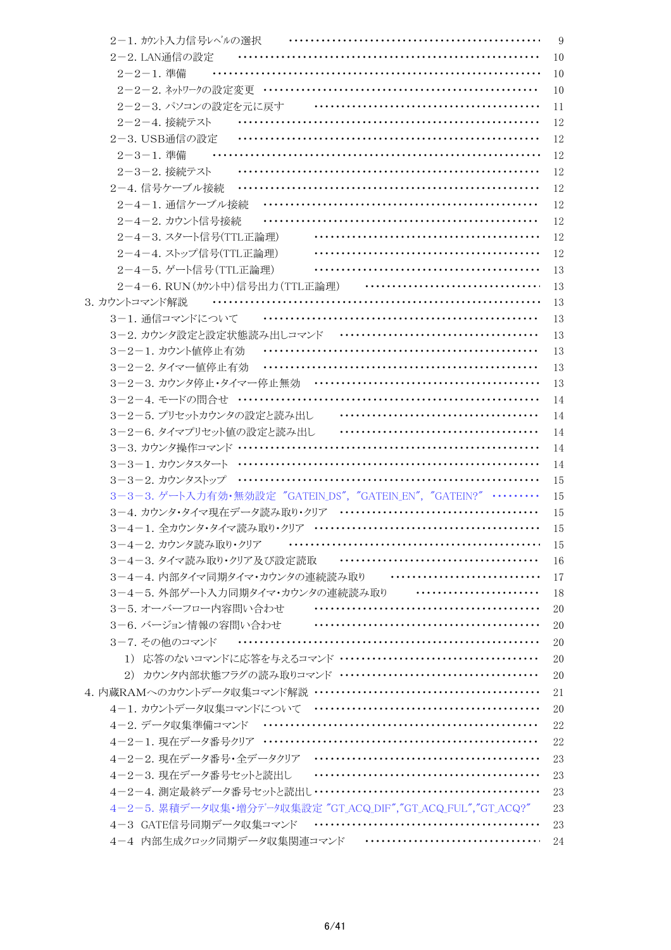| 2-1. カウント入力信号レベルの選択                                            | 9  |
|----------------------------------------------------------------|----|
| 2-2. LAN通信の設定                                                  | 10 |
| 2-2-1. 準備                                                      | 10 |
|                                                                | 10 |
| 2-2-3. パソコンの設定を元に戻す                                            | 11 |
| 2-2-4. 接続テスト                                                   | 12 |
| 2-3. USB通信の設定                                                  | 12 |
| 2-3-1. 準備                                                      | 12 |
| 2-3-2. 接続テスト                                                   | 12 |
| 2-4. 信号ケーブル接続                                                  | 12 |
| 2-4-1. 通信ケーブル接続                                                | 12 |
| 2-4-2. カウント信号接続                                                | 12 |
| 2-4-3. スタート信号(TTL正論理)                                          | 12 |
| 2-4-4. ストップ信号(TTL正論理)                                          | 12 |
| 2-4-5. ゲート信号 (TTL正論理)                                          | 13 |
| 2-4-6. RUN (カウント中)信号出力 (TTL正論理)                                | 13 |
| 3. カウントコマンド解説<br>.                                             | 13 |
| 3-1. 通信コマンドについて                                                | 13 |
| 3-2. カウンタ設定と設定状態読み出しコマンド                                       | 13 |
| 3-2-1. カウント値停止有効                                               | 13 |
| 3-2-2. タイマー値停止有効                                               | 13 |
| 3-2-3. カウンタ停止・タイマー停止無効                                         | 13 |
| 3-2-4. モードの間合せ ………………………………………………………                           | 14 |
| <br>3-2-5. プリセットカウンタの設定と読み出し                                   | 14 |
| 3-2-6. タイマプリセット値の設定と読み出し                                       | 14 |
|                                                                | 14 |
|                                                                | 14 |
|                                                                | 15 |
| 3-3-3. ゲート入力有効·無効設定 "GATEIN_DS", "GATEIN_EN", "GATEIN?" ………    | 15 |
|                                                                | 15 |
|                                                                | 15 |
| 3-4-2. カウンタ読み取り・クリア                                            | 15 |
| <br>3-4-3. タイマ読み取り・クリア及び設定読取                                   | 16 |
| 3-4-4. 内部タイマ同期タイマ・カウンタの連続読み取り ………………………………                     | 17 |
| 3-4-5. 外部ゲート入力同期タイマ・カウンタの連続読み取り ………………………                      | 18 |
| 3-5. オーバーフロー内容間い合わせ ……………………………………………                          | 20 |
| 3-6. バージョン情報の容問い合わせ                                            | 20 |
| 3-7. その他のコマンド                                                  | 20 |
|                                                                | 20 |
|                                                                | 20 |
|                                                                | 21 |
|                                                                | 20 |
|                                                                | 22 |
|                                                                | 22 |
|                                                                | 23 |
|                                                                | 23 |
| 4-2-4. 測定最終データ番号セットと読出し ……………………………………………                      | 23 |
| 4-2-5. 累積データ収集·増分データ収集設定 "GT_ACQ_DIF", "GT_ACQ_FUL", "GT_ACQ?" | 23 |
|                                                                | 23 |
|                                                                |    |
| 4-4 内部生成クロック同期データ収集関連コマンド …………………………………                        | 24 |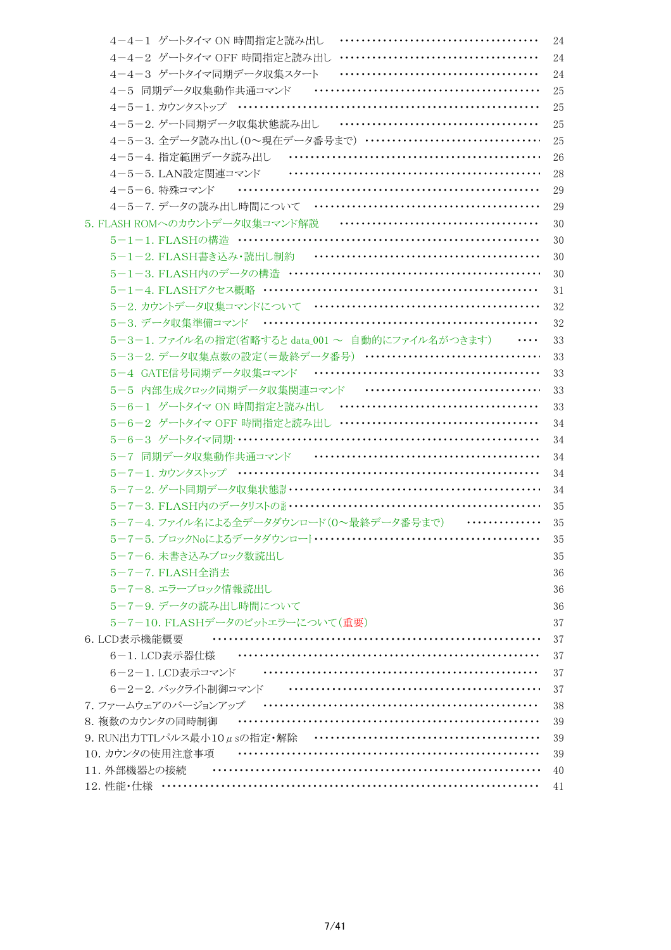| 4-4-1 ゲートタイマ ON 時間指定と読み出し                                     | 24 |
|---------------------------------------------------------------|----|
|                                                               | 24 |
| 4-4-3 ゲートタイマ同期データ収集スタート<br>                                   | 24 |
| 4-5 同期データ収集動作共通コマンド …………………………………………                          | 25 |
| 4-5-1. カウンタストップ ………………………………………………………                         | 25 |
| 4-5-2. ゲート同期データ収集状態読み出し ………………………………………                       | 25 |
| 4-5-3. 全データ読み出し(0~現在データ番号まで) …………………………………                    | 25 |
|                                                               | 26 |
|                                                               | 28 |
| 4-5-6. 特殊コマンド …………………………………………………………                          | 29 |
|                                                               | 29 |
|                                                               | 30 |
|                                                               | 30 |
|                                                               | 30 |
|                                                               | 30 |
|                                                               | 31 |
| 5-2. カウントデータ収集コマンドについて …………………………………………                       | 32 |
|                                                               | 32 |
| 5-3-1. ファイル名の指定(省略すると data_001 ~ 自動的にファイル名がつきます)              | 33 |
| 5-3-2. データ収集点数の設定(=最終データ番号) ································· | 33 |
|                                                               | 33 |
| 5-5 内部生成クロック同期データ収集関連コマンド …………………………………                       | 33 |
|                                                               | 33 |
|                                                               | 34 |
| 5-6-3 ゲートタイマ同期 ………………………………………………………                          | 34 |
| 5-7 同期データ収集動作共通コマンド …………………………………………                          | 34 |
|                                                               | 34 |
| 5-7-2. ゲート同期データ収集状態計 ……………………………………………………                     | 34 |
|                                                               | 35 |
| 5-7-4. ファイル名による全データダウンロード(0~最終データ番号まで) ………………                 | 35 |
|                                                               | 35 |
| 5-7-6. 未書き込みブロック数読出し                                          | 35 |
| 5-7-7. FLASH全消去                                               | 36 |
| 5-7-8. エラーブロック情報読出し                                           | 36 |
| 5-7-9. データの読み出し時間について                                         | 36 |
| 5-7-10. FLASHデータのビットエラーについて(重要)                               | 37 |
| 6. LCD表示機能概要                                                  | 37 |
| 6-1. LCD表示器仕様                                                 | 37 |
| 6-2-1. LCD表示コマンド  ………………………………………………………                       | 37 |
| 6-2-2. バックライト制御コマンド …………………………………………………                       | 37 |
| 7.77-ムウェアのバージョンアップ …………………………………………………                        | 38 |
| 8. 複数のカウンタの同時制御                                               | 39 |
|                                                               | 39 |
| 10. カウンタの使用注意事項                                               | 39 |
| 11. 外部機器との接続                                                  | 40 |
|                                                               | 41 |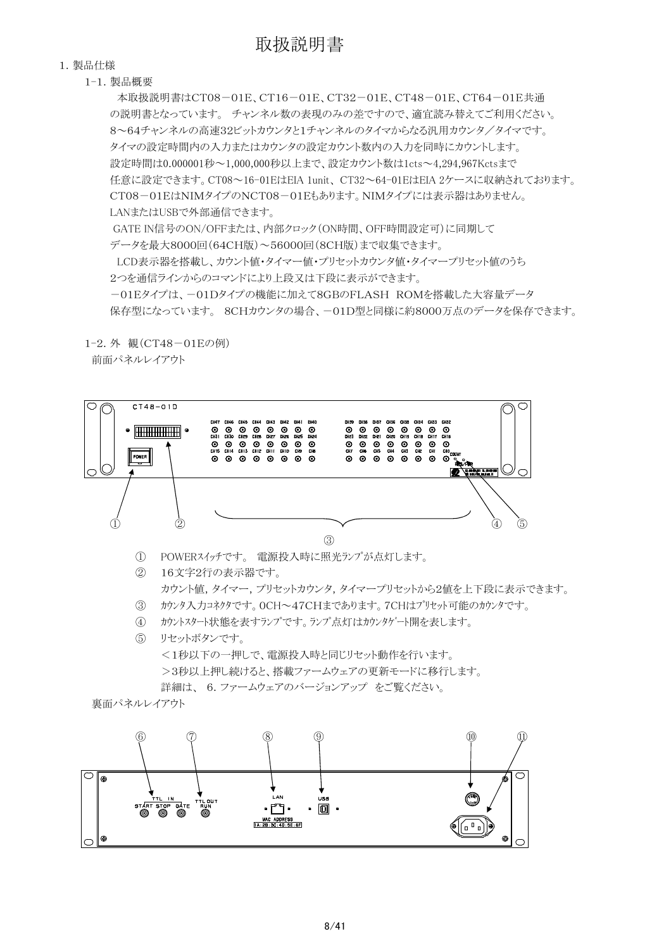#### 1.製品仕様

1-1.製品概要

 本取扱説明書はCT08-01E、CT16-01E、CT32-01E、CT48-01E、CT64-01E共通 の説明書となっています。 チャンネル数の表現のみの差ですので、適宜読み替えてご利用ください。 8~64チャンネルの高速32ビットカウンタと1チャンネルのタイマからなる汎用カウンタ/タイマです。 タイマの設定時間内の入力またはカウンタの設定カウント数内の入力を同時にカウントします。 設定時間は0.000001秒~1,000,000秒以上まで、設定カウント数は1cts~4,294,967Kctsまで 任意に設定できます。CT08~16-01EはEIA 1unit、 CT32~64-01EはEIA 2ケースに収納されております。 CT08-01EはNIMタイプのNCT08-01Eもあります。NIMタイプには表示器はありません。 LANまたはUSBで外部通信できます。 GATE IN信号のON/OFFまたは、内部クロック(ON時間、OFF時間設定可)に同期して データを最大8000回(64CH版)~56000回(8CH版)まで収集できます。 LCD表示器を搭載し、カウント値・タイマー値・プリセットカウンタ値・タイマープリセット値のうち 2つを通信ラインからのコマンドにより上段又は下段に表示ができます。

-01Eタイプは、-01Dタイプの機能に加えて8GBのFLASH ROMを搭載した大容量データ 保存型になっています。 8CHカウンタの場合、-01D型と同様に約8000万点のデータを保存できます。

1-2.外 観(CT48-01Eの例)

前面パネルレイアウト

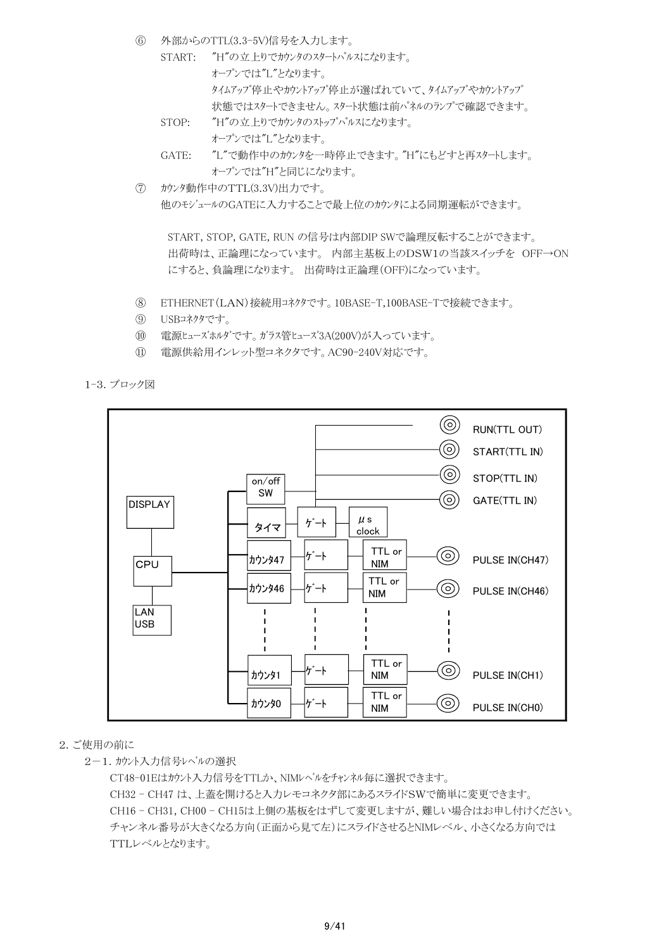- ⑥ 外部からのTTL(3.3-5V)信号を入力します。
	- START: "H"の立上りでカウンタのスタートパルスになります。 オープンでは"L"となります。 タイムアップ停止やカウントアップ停止が選ばれていて、タイムアップやカウントアップ 状態ではスタートできません。スタート状態は前パネルのランプで確認できます。
	- STOP: "H"の立上りでカウンタのストップパルスになります。 オープンでは"L"となります。
	- GATE: "L"で動作中のカウンタを一時停止できます。"H"にもどすと再スタートします。 オープンでは"H"と同じになります。
- ⑦ カウンタ動作中のTTL(3.3V)出力です。 他のモジュールのGATEに入力することで最上位のカウンタによる同期運転ができます。

 START, STOP, GATE, RUN の信号は内部DIP SWで論理反転することができます。 出荷時は、正論理になっています。 内部主基板上のDSW1の当該スイッチを OFF→ON にすると、負論理になります。 出荷時は正論理(OFF)になっています。

- ⑧ ETHERNET(LAN)接続用コネクタです。10BASE-T,100BASE-Tで接続できます。
- ⑨ USBコネクタです。
- ⑩ 電源ヒューズホルダです。ガラス管ヒューズ3A(200V)が入っています。
- ⑪ 電源供給用インレット型コネクタです。AC90-240V対応です。

1-3.ブロック図



# 2.ご使用の前に

2-1.カウント入力信号レベルの選択

CT48-01Eはカウント入力信号をTTLか、NIMレベルをチャンネル毎に選択できます。 CH32 - CH47 は、上蓋を開けると入力レモコネクタ部にあるスライドSWで簡単に変更できます。 CH16 - CH31, CH00 - CH15は上側の基板をはずして変更しますが、難しい場合はお申し付けください。 チャンネル番号が大きくなる方向(正面から見て左)にスライドさせるとNIMレベル、小さくなる方向では TTLレベルとなります。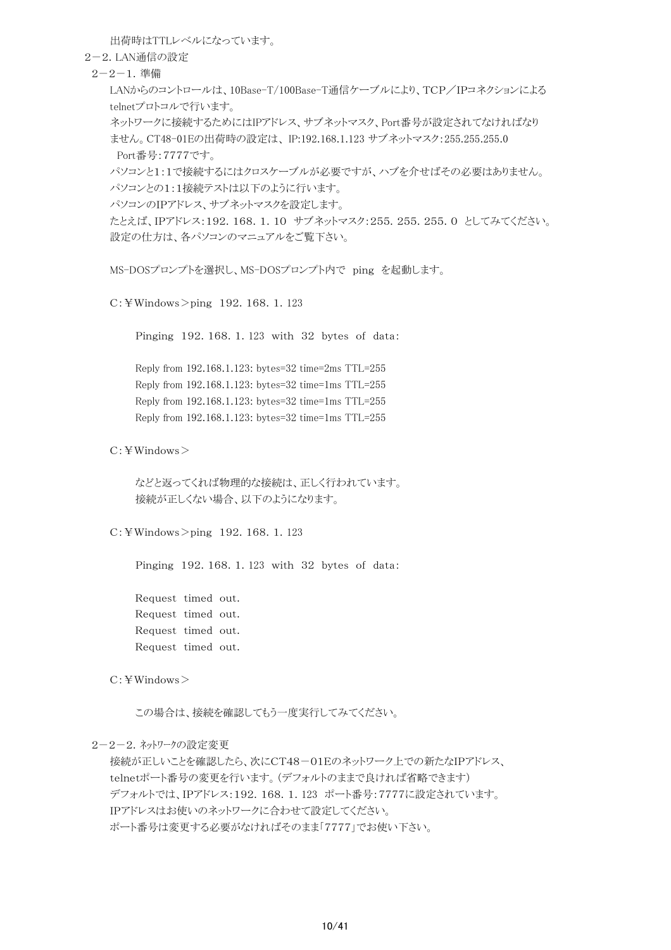出荷時はTTLレベルになっています。

2-2.LAN通信の設定

2-2-1.準備

LANからのコントロールは、10Base-T/100Base-T通信ケーブルにより、TCP/IPコネクションによる telnetプロトコルで行います。

ネットワークに接続するためにはIPアドレス、サブネットマスク、Port番号が設定されてなければなり ません。CT48-01Eの出荷時の設定は、 IP:192.168.1.123 サブネットマスク:255.255.255.0 Port番号:7777です。

パソコンと1:1で接続するにはクロスケーブルが必要ですが、ハブを介せばその必要はありません。 パソコンとの1:1接続テストは以下のように行います。

パソコンのIPアドレス、サブネットマスクを設定します。

たとえば、IPアドレス:192.168.1.10 サブネットマスク:255.255.255.0 としてみてください。 設定の仕方は、各パソコンのマニュアルをご覧下さい。

MS-DOSプロンプトを選択し、MS-DOSプロンプト内で ping を起動します。

C:¥Windows>ping 192.168.1.123

Pinging 192.168.1.123 with 32 bytes of data:

Reply from 192.168.1.123: bytes=32 time=2ms TTL=255 Reply from 192.168.1.123: bytes=32 time=1ms TTL=255 Reply from 192.168.1.123: bytes=32 time=1ms TTL=255 Reply from 192.168.1.123: bytes=32 time=1ms TTL=255

C:¥Windows>

などと返ってくれば物理的な接続は、正しく行われています。 接続が正しくない場合、以下のようになります。

C:¥Windows>ping 192.168.1.123

Pinging 192.168.1.123 with 32 bytes of data:

Request timed out. Request timed out. Request timed out. Request timed out.

C:¥Windows>

この場合は、接続を確認してもう一度実行してみてください。

2-2-2.ネットワークの設定変更

接続が正しいことを確認したら、次にCT48-01Eのネットワーク上での新たなIPアドレス、 telnetポート番号の変更を行います。(デフォルトのままで良ければ省略できます) デフォルトでは、IPアドレス:192.168.1.123 ポート番号:7777に設定されています。 IPアドレスはお使いのネットワークに合わせて設定してください。 ポート番号は変更する必要がなければそのまま「7777」でお使い下さい。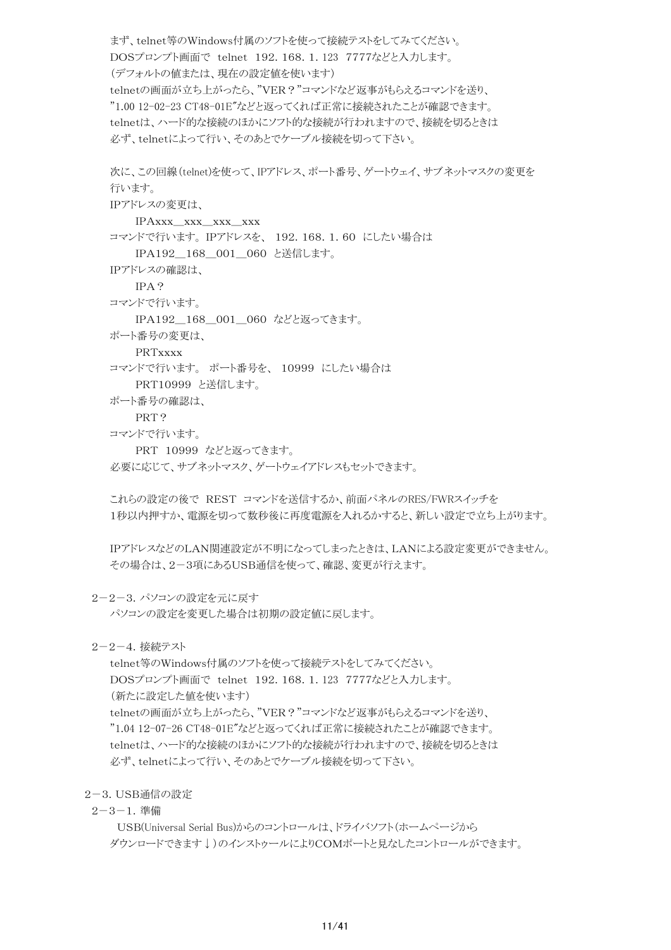まず、telnet等のWindows付属のソフトを使って接続テストをしてみてください。 DOSプロンプト画面で telnet 192.168.1.123 7777などと入力します。 (デフォルトの値または、現在の設定値を使います) telnetの画面が立ち上がったら、"VER?"コマンドなど返事がもらえるコマンドを送り、 "1.00 12-02-23 CT48-01E"などと返ってくれば正常に接続されたことが確認できます。 telnetは、ハード的な接続のほかにソフト的な接続が行われますので、接続を切るときは 必ず、telnetによって行い、そのあとでケーブル接続を切って下さい。

次に、この回線(telnet)を使って、IPアドレス、ポート番号、ゲートウェイ、サブネットマスクの変更を 行います。 IPアドレスの変更は、 IPAxxx\_xxx\_xxx\_xxx コマンドで行います。 IPアドレスを、 192.168.1.60 にしたい場合は

IPA192\_168\_001\_060 と送信します。

IPアドレスの確認は、

IPA?

コマンドで行います。

IPA192\_168\_001\_060 などと返ってきます。

ポート番号の変更は、

PRTxxxx

コマンドで行います。 ポート番号を、 10999 にしたい場合は

PRT10999 と送信します。

ポート番号の確認は、

PRT?

コマンドで行います。

PRT 10999 などと返ってきます。

必要に応じて、サブネットマスク、ゲートウェイアドレスもセットできます。

これらの設定の後で REST コマンドを送信するか、前面パネルのRES/FWRスイッチを 1秒以内押すか、電源を切って数秒後に再度電源を入れるかすると、新しい設定で立ち上がります。

IPアドレスなどのLAN関連設定が不明になってしまったときは、LANによる設定変更ができません。 その場合は、2-3項にあるUSB通信を使って、確認、変更が行えます。

2-2-3.パソコンの設定を元に戻す

パソコンの設定を変更した場合は初期の設定値に戻します。

2-2-4.接続テスト

telnet等のWindows付属のソフトを使って接続テストをしてみてください。 DOSプロンプト画面で telnet 192.168.1.123 7777などと入力します。 (新たに設定した値を使います) telnetの画面が立ち上がったら、"VER?"コマンドなど返事がもらえるコマンドを送り、 "1.04 12-07-26 CT48-01E"などと返ってくれば正常に接続されたことが確認できます。 telnetは、ハード的な接続のほかにソフト的な接続が行われますので、接続を切るときは 必ず、telnetによって行い、そのあとでケーブル接続を切って下さい。

2-3.USB通信の設定

2-3-1.準備

 USB(Universal Serial Bus)からのコントロールは、ドライバソフト(ホームページから ダウンロードできます↓)のインストゥールによりCOMポートと見なしたコントロールができます。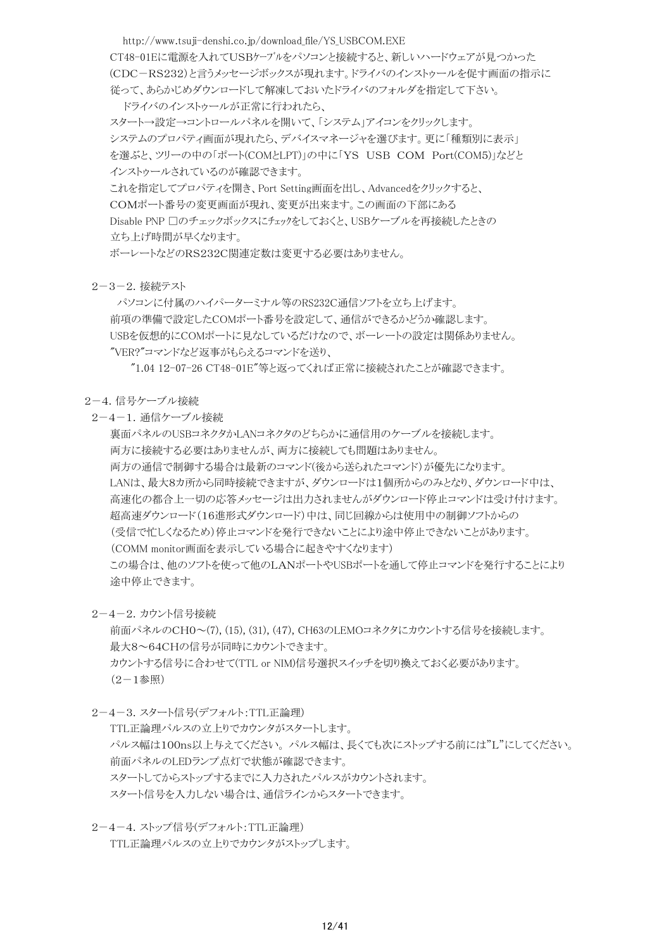http://www.tsuji-denshi.co.jp/download\_file/YS\_USBCOM.EXE CT48-01Eに電源を入れてUSBケーブルをパソコンと接続すると、新しいハードウェアが見つかった (CDC-RS232)と言うメッセージボックスが現れます。ドライバのインストゥールを促す画面の指示に 従って、あらかじめダウンロードして解凍しておいたドライバのフォルダを指定して下さい。 ドライバのインストゥールが正常に行われたら、 スタート→設定→コントロールパネルを開いて、「システム」アイコンをクリックします。 システムのプロパティ画面が現れたら、デバイスマネージャを選びます。更に「種類別に表示」 を選ぶと、ツリーの中の「ポート(COMとLPT)」の中に「YS USB COM Port(COM5)」などと インストゥールされているのが確認できます。

これを指定してプロパティを開き、Port Setting画面を出し、Advancedをクリックすると、 COMポート番号の変更画面が現れ、変更が出来ます。この画面の下部にある Disable PNP 口のチェックボックスにチェックをしておくと、USBケーブルを再接続したときの 立ち上げ時間が早くなります。

ボーレートなどのRS232C関連定数は変更する必要はありません。

#### 2-3-2.接続テスト

 パソコンに付属のハイパーターミナル等のRS232C通信ソフトを立ち上げます。 前項の準備で設定したCOMポート番号を設定して、通信ができるかどうか確認します。 USBを仮想的にCOMポートに見なしているだけなので、ボーレートの設定は関係ありません。 "VER?"コマンドなど返事がもらえるコマンドを送り、

"1.04 12-07-26 CT48-01E"等と返ってくれば正常に接続されたことが確認できます。

#### 2-4.信号ケーブル接続

2-4-1.通信ケーブル接続

裏面パネルのUSBコネクタかLANコネクタのどちらかに通信用のケーブルを接続します。 両方に接続する必要はありませんが、両方に接続しても問題はありません。 両方の通信で制御する場合は最新のコマンド(後から送られたコマンド)が優先になります。 LANは、最大8カ所から同時接続できますが、ダウンロードは1個所からのみとなり、ダウンロード中は、 高速化の都合上一切の応答メッセージは出力されませんがダウンロード停止コマンドは受け付けます。 超高速ダウンロード(16進形式ダウンロード)中は、同じ回線からは使用中の制御ソフトからの (受信で忙しくなるため)停止コマンドを発行できないことにより途中停止できないことがあります。 (COMM monitor画面を表示している場合に起きやすくなります) この場合は、他のソフトを使って他のLANポートやUSBポートを通して停止コマンドを発行することにより 途中停止できます。

### 2-4-2.カウント信号接続

前面パネルのCH0~(7), (15), (31), (47), CH63のLEMOコネクタにカウントする信号を接続します。 最大8~64CHの信号が同時にカウントできます。 カウントする信号に合わせて(TTL or NIM)信号選択スイッチを切り換えておく必要があります。  $(2-1$ 参照 $)$ 

2-4-3.スタート信号(デフォルト:TTL正論理)

TTL正論理パルスの立上りでカウンタがスタートします。 パルス幅は100ns以上与えてください。 パルス幅は、長くても次にストップする前には"L"にしてください。 前面パネルのLEDランプ点灯で状態が確認できます。 スタートしてからストップするまでに入力されたパルスがカウントされます。 スタート信号を入力しない場合は、通信ラインからスタートできます。

 2-4-4.ストップ信号(デフォルト:TTL正論理) TTL正論理パルスの立上りでカウンタがストップします。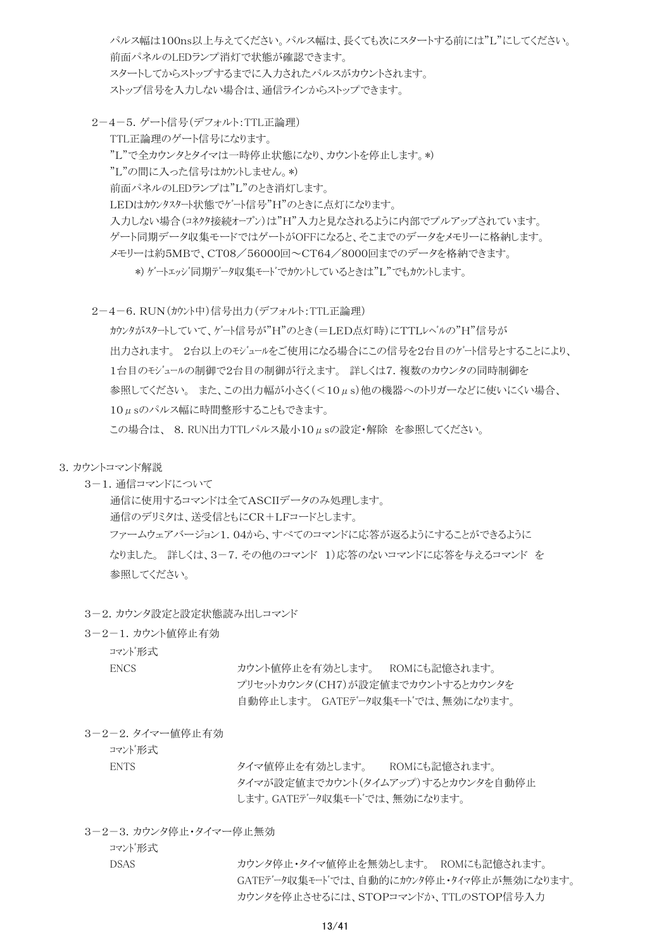パルス幅は100ns以上与えてください。パルス幅は、長くても次にスタートする前には"L"にしてください。 前面パネルのLEDランプ消灯で状態が確認できます。 スタートしてからストップするまでに入力されたパルスがカウントされます。 ストップ信号を入力しない場合は、通信ラインからストップできます。

 2-4-5.ゲート信号(デフォルト:TTL正論理) TTL正論理のゲート信号になります。 "L"で全カウンタとタイマは一時停止状態になり、カウントを停止します。\*) "L"の間に入った信号はカウントしません。\*) 前面パネルのLEDランプは"L"のとき消灯します。 LEDはカウンタスタート状態でゲート信号"H"のときに点灯になります。 入力しない場合(コネクタ接続オープン)は"H"入力と見なされるように内部でプルアップされています。 ゲート同期データ収集モードではゲートがOFFになると、そこまでのデータをメモリーに格納します。 メモリーは約5MBで、CT08/56000回~CT64/8000回までのデータを格納できます。 \*) ゲートエッジ同期データ収集モードでカウントしているときは"L"でもカウントします。

2-4-6.RUN(カウント中)信号出力(デフォルト:TTL正論理)

カウンタがスタートしていて、ゲート信号が"H"のとき(=LED点灯時)にTTLレベルの"H"信号が 出力されます。 2台以上のモジュールをご使用になる場合にこの信号を2台目のゲート信号とすることにより、 1台目のモジュールの制御で2台目の制御が行えます。 詳しくは7.複数のカウンタの同時制御を 参照してください。 また、この出力幅が小さく(<10μs)他の機器へのトリガーなどに使いにくい場合、 10μsのパルス幅に時間整形することもできます。

この場合は、 8.RUN出力TTLパルス最小10μsの設定・解除 を参照してください。

#### 3.カウントコマンド解説

3-1.通信コマンドについて

通信に使用するコマンドは全てASCIIデータのみ処理します。 通信のデリミタは、送受信ともにCR+LFコードとします。 ファームウェアバージョン1.04から、すべてのコマンドに応答が返るようにすることができるように なりました。 詳しくは、3-7.その他のコマンド 1)応答のないコマンドに応答を与えるコマンド を 参照してください。

- 3-2. カウンタ設定と設定状態読み出しコマンド
- 3-2-1.カウント値停止有効

コマンド形式

ENCS カウント値停止を有効とします。 ROMにも記憶されます。 プリセットカウンタ(CH7)が設定値までカウントするとカウンタを 自動停止します。 GATEデータ収集モードでは、無効になります。

3-2-2.タイマー値停止有効

コマンド形式

ENTS タイマ値停止を有効とします。 ROMにも記憶されます。 タイマが設定値までカウント(タイムアップ)するとカウンタを自動停止 します。GATEデータ収集モードでは、無効になります。

3-2-3.カウンタ停止・タイマー停止無効

コマンド形式

DSAS カウンタ停止・タイマ値停止を無効とします。 ROMにも記憶されます。 GATEデータ収集モードでは、自動的にカウンタ停止・タイマ停止が無効になります。 カウンタを停止させるには、STOPコマンドか、TTLのSTOP信号入力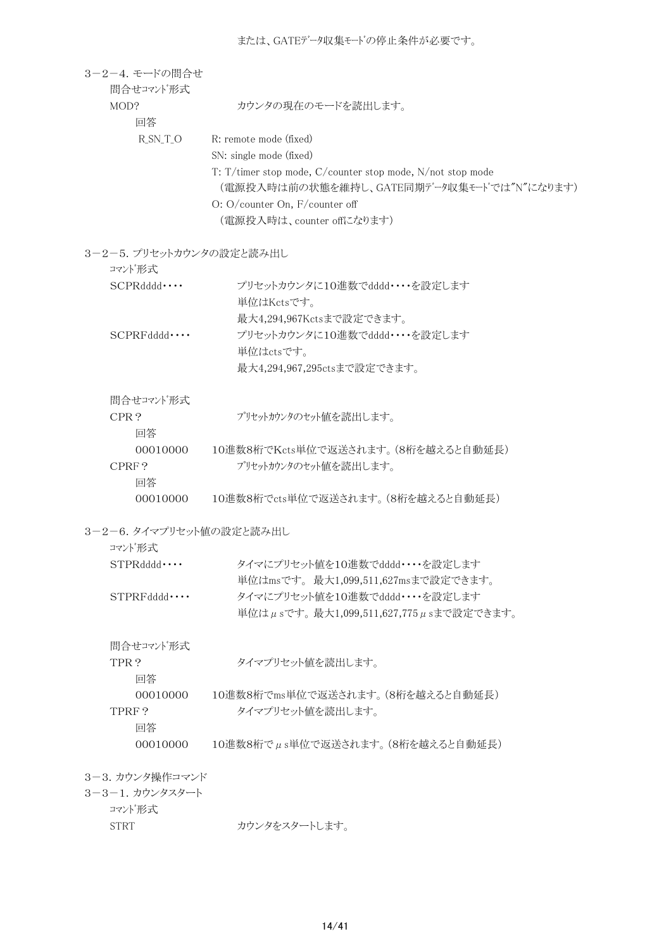| 3-2-4. モードの間合せ<br>間合せコマンド形式 |                                                            |
|-----------------------------|------------------------------------------------------------|
| MOD?<br>回答                  | カウンタの現在のモードを読出します。                                         |
| $R_SN_T_O$                  | R: remote mode (fixed)                                     |
|                             | SN: single mode (fixed)                                    |
|                             | T: T/timer stop mode, C/counter stop mode, N/not stop mode |
|                             | (電源投入時は前の状態を維持し、GATE同期データ収集モードでは"N"になります)                  |
|                             | O: O/counter On, F/counter off                             |
|                             | (電源投入時は、counter offになります)                                  |
| 3-2-5. プリセットカウンタの設定と読み出し    |                                                            |
| コマンド形式                      |                                                            |
| SCPRddd                     | プリセットカウンタに10進数でdddd・・・・を設定します                              |
|                             | 単位はKctsです。<br>最大4,294,967Kctsまで設定できます。                     |
| $SCPRFdddd \cdots$          | プリセットカウンタに10進数でdddd・・・・を設定します                              |
|                             | 単位はctsです。                                                  |
|                             | 最大4,294,967,295ctsまで設定できます。                                |
|                             |                                                            |
| 間合せコマンド形式                   |                                                            |
| CPR?                        | プリセットカウンタのセット値を読出します。                                      |
| 回答                          |                                                            |
| 00010000                    | 10進数8桁でKcts単位で返送されます。(8桁を越えると自動延長)                         |
| CPRF?                       | プリセットカウンタのセット値を読出します。                                      |
| 回答                          |                                                            |
| 00010000                    | 10進数8桁でcts単位で返送されます。(8桁を越えると自動延長)                          |
| 3-2-6. タイマプリセット値の設定と読み出し    |                                                            |
| コマンド形式                      |                                                            |
| $STPRdddd \cdots$           | タイマにプリセット値を10進数でdddd・・・・を設定します                             |
|                             | 単位はmsです。最大1,099,511,627msまで設定できます。                         |
| $STPRFdddd \cdots$          | タイマにプリセット値を10進数でdddd・・・・を設定します                             |
|                             | 単位はμsです。最大1,099,511,627,775μsまで設定できます。                     |
| 間合せコマンド形式                   |                                                            |
| TPR?                        | タイマプリセット値を読出します。                                           |
| 回答                          |                                                            |
| 00010000                    | 10進数8桁でms単位で返送されます。(8桁を越えると自動延長)                           |
| TPRF?                       | タイマプリセット値を読出します。                                           |
| 回答                          |                                                            |
| 00010000                    | $10$ 進数8桁で $\mu$ s単位で返送されます。(8桁を越えると自動延長)                  |
| 3-3. カウンタ操作コマンド             |                                                            |
| 3-3-1. カウンタスタート             |                                                            |
| コマンド形式                      |                                                            |
| <b>STRT</b>                 | カウンタをスタートします。                                              |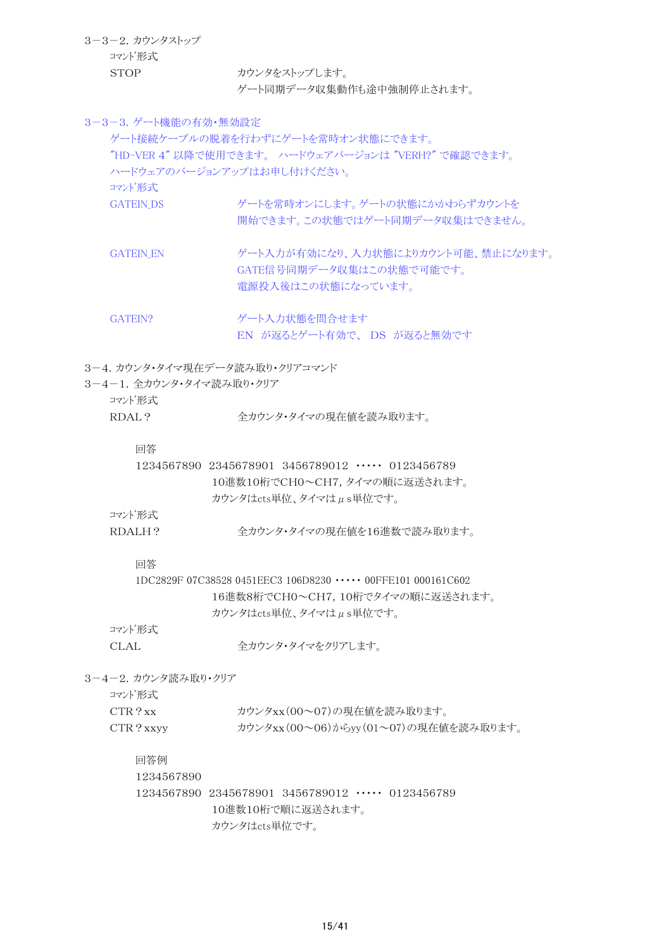3-3-2.カウンタストップ コマンド形式 STOP カウンタをストップします。

ゲート同期データ収集動作も途中強制停止されます。

3-3-3.ゲート機能の有効・無効設定

ゲート接続ケーブルの脱着を行わずにゲートを常時オン状態にできます。 "HD-VER 4" 以降で使用できます。 ハードウェアバージョンは "VERH?" で確認できます。 ハードウェアのバージョンアップはお申し付けください。 コマンド形式 GATEIN DS ゲートを常時オンにします。ゲートの状態にかかわらずカウントを 開始できます。この状態ではゲート同期データ収集はできません。 GATEIN EN ゲート入力が有効になり、入力状態によりカウント可能、禁止になります。 GATE信号同期データ収集はこの状態で可能です。 電源投入後はこの状態になっています。 GATEIN? ゲート入力状態を間合せます EN が返るとゲート有効で、 DS が返ると無効です 3-4.カウンタ・タイマ現在データ読み取り・クリアコマンド 3-4-1. 全カウンタ・タイマ読み取り・クリア コマンド形式 RDAL? 全カウンタ・タイマの現在値を読み取ります。 回答 1234567890 2345678901 3456789012 ・・・・・ 0123456789 10進数10桁でCH0~CH7,タイマの順に返送されます。 カウンタはcts単位、タイマはμs単位です。 コマンド形式 RDALH? <br />
全カウンタ・タイマの現在値を16進数で読み取ります。 回答 1DC2829F 07C38528 0451EEC3 106D8230 ・・・・・ 00FFE101 000161C602 16進数8桁でCH0~CH7,10桁でタイマの順に返送されます。 カウンタはcts単位、タイマはμs単位です。 コマンド形式 CLAL 全カウンタ・タイマをクリアします。 3-4-2. カウンタ読み取り・クリア コマンド形式 CTR?xx カウンタxx(00~07)の現在値を読み取ります。 CTR?xxyy カウンタxx(00~06)からyy(01~07)の現在値を読み取ります。 回答例 1234567890 1234567890 2345678901 3456789012 ・・・・・ 0123456789 10進数10桁で順に返送されます。 カウンタはcts単位です。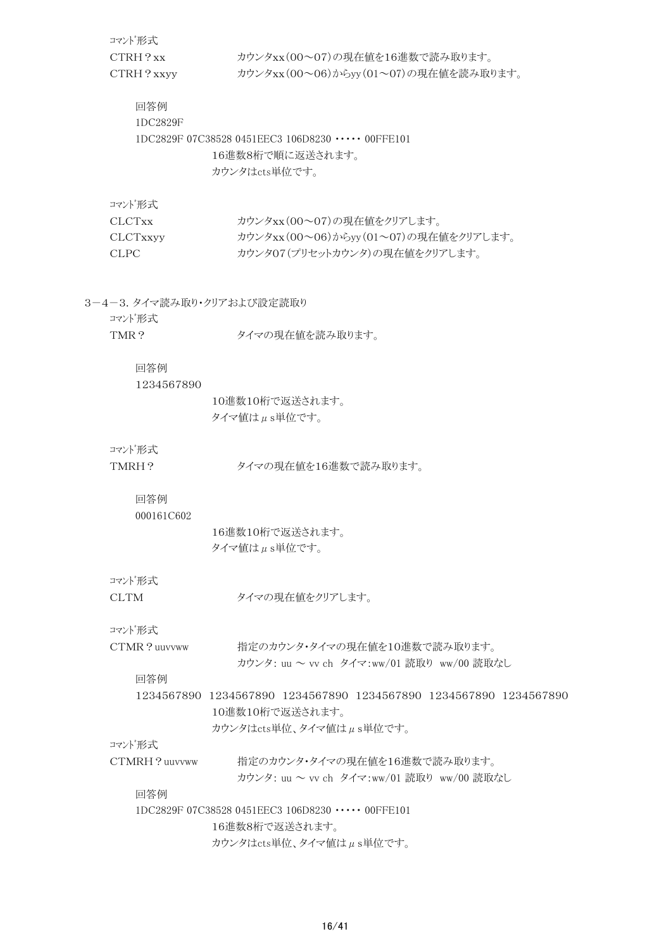|     | コマンド形式                               |                                                                   |
|-----|--------------------------------------|-------------------------------------------------------------------|
|     | CTRH?xx                              | カウンタxx(00~07)の現在値を16進数で読み取ります。                                    |
|     | CTRH? xxyy                           | カウンタxx(00~06)からyy(01~07)の現在値を読み取ります。                              |
|     | 回答例                                  |                                                                   |
|     | 1DC2829F                             |                                                                   |
|     |                                      | 1DC2829F 07C38528 0451EEC3 106D8230 $\cdots$ 00FFE101             |
|     |                                      | 16進数8桁で順に返送されます。                                                  |
|     |                                      | カウンタはcts単位です。                                                     |
|     | コマンド形式                               |                                                                   |
|     | <b>CLCTxx</b>                        | カウンタxx(00~07)の現在値をクリアします。                                         |
|     | CLCTxxyy                             | カウンタxx(00~06)からyy(01~07)の現在値をクリアします。                              |
|     | <b>CLPC</b>                          | カウンタ07(プリセットカウンタ)の現在値をクリアします。                                     |
|     |                                      |                                                                   |
|     | 3-4-3. タイマ読み取り・クリアおよび設定読取り<br>コマンド形式 |                                                                   |
|     | TMR?                                 | タイマの現在値を読み取ります。                                                   |
|     |                                      |                                                                   |
|     | 回答例                                  |                                                                   |
|     | 1234567890                           |                                                                   |
|     |                                      | 10進数10桁で返送されます。                                                   |
|     |                                      | タイマ値はµs単位です。                                                      |
|     |                                      |                                                                   |
|     | コマンド形式                               |                                                                   |
|     | TMRH?                                | タイマの現在値を16進数で読み取ります。                                              |
|     | 回答例                                  |                                                                   |
|     | 000161C602                           |                                                                   |
|     |                                      | 16進数10桁で返送されます。                                                   |
|     |                                      | タイマ値はµs単位です。                                                      |
|     |                                      |                                                                   |
|     | コマンド形式                               |                                                                   |
|     | <b>CLTM</b>                          | タイマの現在値をクリアします。                                                   |
|     | コマンド形式                               |                                                                   |
|     | CTMR? uuvvww                         | 指定のカウンタ・タイマの現在値を10進数で読み取ります。                                      |
|     |                                      | カウンタ: uu ~ vv ch タイマ:ww/01 読取り ww/00 読取なし                         |
|     | 回答例                                  |                                                                   |
|     |                                      | 1234567890 1234567890 1234567890 1234567890 1234567890 1234567890 |
|     |                                      | 10進数10桁で返送されます。                                                   |
|     |                                      | カウンタはcts単位、タイマ値はµs単位です。                                           |
|     | コマンド形式                               |                                                                   |
|     | CTMRH?uuvvww                         | 指定のカウンタ・タイマの現在値を16進数で読み取ります。                                      |
|     |                                      | カウンタ: uu ~ vv ch タイマ:ww/01 読取り ww/00 読取なし                         |
| 回答例 |                                      |                                                                   |
|     |                                      | 1DC2829F 07C38528 0451EEC3 106D8230 ···· 00FFE101                 |
|     |                                      | 16進数8桁で返送されます。                                                    |
|     |                                      | カウンタはcts単位、タイマ値はµs単位です。                                           |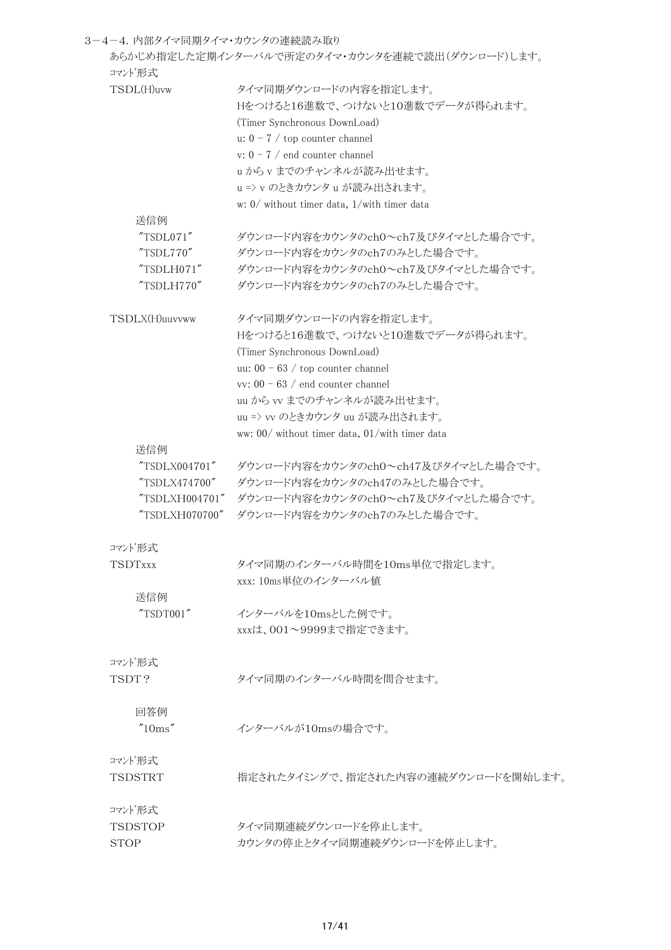| 3-4-4. 内部タイマ同期タイマ・カウンタの連続読み取り |                                                  |
|-------------------------------|--------------------------------------------------|
| コマンド形式                        | あらかじめ指定した定期インターバルで所定のタイマ・カウンタを連続で読出(ダウンロード)します。  |
| TSDL(H)uvw                    | タイマ同期ダウンロードの内容を指定します。                            |
|                               | Hをつけると16進数で、つけないと10進数でデータが得られます。                 |
|                               | (Timer Synchronous DownLoad)                     |
|                               | u: $0 - 7$ / top counter channel                 |
|                               | v: $0 - 7$ / end counter channel                 |
|                               | uからvまでのチャンネルが読み出せます。                             |
|                               | u => v のときカウンタ u が読み出されます。                       |
|                               | w: $0/$ without timer data, $1/$ with timer data |
| 送信例                           |                                                  |
| "TSDL071"                     | ダウンロード内容をカウンタのch0~ch7及びタイマとした場合です。               |
| "TSDL770"                     | ダウンロード内容をカウンタのch7のみとした場合です。                      |
| "TSDLH071"                    |                                                  |
|                               | ダウンロード内容をカウンタのch0~ch7及びタイマとした場合です。               |
| "TSDLH770"                    | ダウンロード内容をカウンタのch7のみとした場合です。                      |
| TSDLX(H)uuvvww                | タイマ同期ダウンロードの内容を指定します。                            |
|                               | Hをつけると16進数で、つけないと10進数でデータが得られます。                 |
|                               | (Timer Synchronous DownLoad)                     |
|                               | uu: $00 - 63$ / top counter channel              |
|                               | vv: $00 - 63$ / end counter channel              |
|                               | uu から vv までのチャンネルが読み出せます。                        |
|                               | uu => vv のときカウンタ uu が読み出されます。                    |
|                               | ww: 00/ without timer data, 01/with timer data   |
| 送信例                           |                                                  |
| "TSDLX004701"                 | ダウンロード内容をカウンタのch0~ch47及びタイマとした場合です。              |
| "TSDLX474700"                 | ダウンロード内容をカウンタのch47のみとした場合です。                     |
| "TSDLXH004701"                | ダウンロード内容をカウンタのch0~ch7及びタイマとした場合です。               |
| "TSDLXH070700"                | ダウンロード内容をカウンタのch7のみとした場合です。                      |
| コマンド形式                        |                                                  |
| <b>TSDTxxx</b>                | タイマ同期のインターバル時間を10ms単位で指定します。                     |
|                               | xxx: 10ms単位のインターバル値                              |
| 送信例                           |                                                  |
| "TSDT001"                     | インターバルを10msとした例です。                               |
|                               | xxxは、001~9999まで指定できます。                           |
|                               |                                                  |
| コマンド形式                        |                                                  |
| TSDT?                         | タイマ同期のインターバル時間を間合せます。                            |
| 回答例                           |                                                  |
| "10ms"                        | インターバルが10msの場合です。                                |
|                               |                                                  |
| コマンド形式                        |                                                  |
| <b>TSDSTRT</b>                | 指定されたタイミングで、指定された内容の連続ダウンロードを開始します。              |
| コマンド形式                        |                                                  |
| TSDSTOP                       | タイマ同期連続ダウンロードを停止します。                             |
| STOP                          | カウンタの停止とタイマ同期連続ダウンロードを停止します。                     |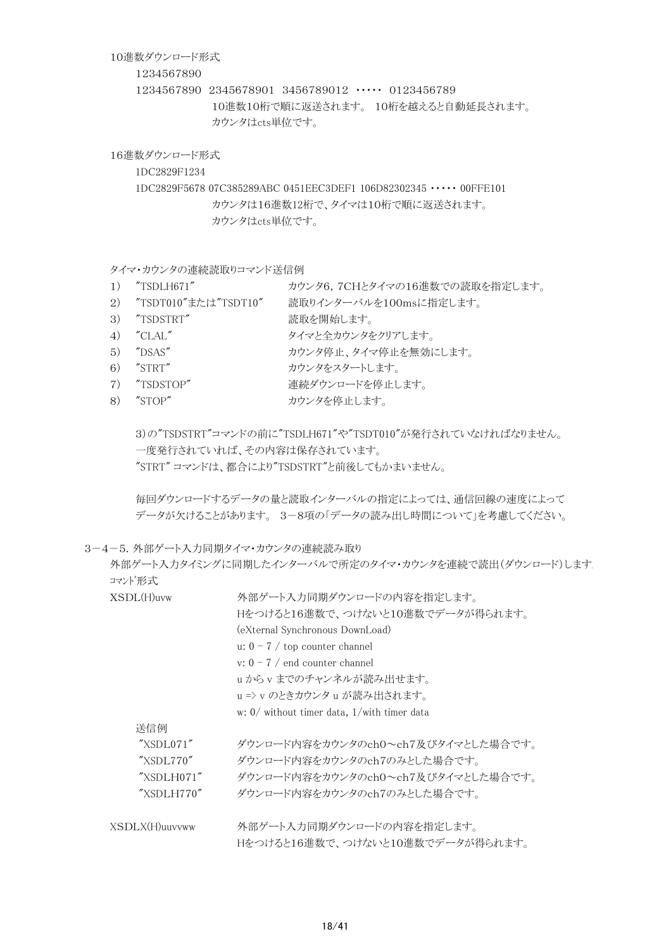#### 10進数ダウンロード形式

#### 1234567890

1234567890 2345678901 3456789012 ・・・・・ 0123456789 10進数10桁で順に返送されます。 10桁を越えると自動延長されます。 カウンタはcts単位です。

16進数ダウンロード形式

1DC2829F1234

1DC2829F5678 07C385289ABC 0451EEC3DEF1 106D82302345 ・・・・・ 00FFE101 カウンタは16進数12桁で、タイマは10桁で順に返送されます。 カウンタはcts単位です。

タイマ・カウンタの連続読取りコマンド送信例

- 1) "TSDLH671" カウンタ6,7CHとタイマの16進数での読取を指定します。
- 2) "TSDT010"または"TSDT10" 読取りインターバルを100msに指定します。
- 3) "TSDSTRT" 読取を開始します。
- 4) "CLAL" タイマと全カウンタをクリアします。
- 5) "DSAS" カウンタ停止、タイマ停止を無効にします。
- 6) "STRT" カウンタをスタートします。
- 7) "TSDSTOP" 連続ダウンロードを停止します。
- 8) "STOP" カウンタを停止します。

3)の"TSDSTRT"コマンドの前に"TSDLH671"や"TSDT010"が発行されていなければなりません。 一度発行されていれば、その内容は保存されています。 "STRT" コマンドは、都合により"TSDSTRT"と前後してもかまいません。

毎回ダウンロードするデータの量と読取インターバルの指定によっては、通信回線の速度によって データが欠けることがあります。 3-8項の「データの読み出し時間について」を考慮してください。

3-4-5. 外部ゲート入力同期タイマ・カウンタの連続読み取り

外部ゲート入力タイミングに同期したインターバルで所定のタイマ・カウンタを連続で読出(ダウンロード)します コマンド形式

| XSDL(H)uvw                 | 外部ゲート入力同期ダウンロードの内容を指定します。                        |  |
|----------------------------|--------------------------------------------------|--|
|                            | Hをつけると16進数で、つけないと10進数でデータが得られます。                 |  |
|                            | (eXternal Synchronous DownLoad)                  |  |
|                            | u: $0 - 7$ / top counter channel                 |  |
|                            | v: $0 - 7$ / end counter channel                 |  |
|                            | uからvまでのチャンネルが読み出せます。                             |  |
|                            | u => v のときカウンタ u が読み出されます。                       |  |
|                            | w: $0/$ without timer data, $1$ /with timer data |  |
| 送信例                        |                                                  |  |
| "XSDL071"                  | ダウンロード内容をカウンタのch0~ch7及びタイマとした場合です。               |  |
| "XSDL770"                  | ダウンロード内容をカウンタのch7のみとした場合です。                      |  |
| "XSDLH071"                 | ダウンロード内容をカウンタのch0~ch7及びタイマとした場合です。               |  |
| $\gamma$ XSDLH770 $\gamma$ | ダウンロード内容をカウンタのch7のみとした場合です。                      |  |
| XSDLX(H)uuvvww             | 外部ゲート入力同期ダウンロードの内容を指定します。                        |  |
|                            | Hをつけると16進数で、つけないと10進数でデータが得られます。                 |  |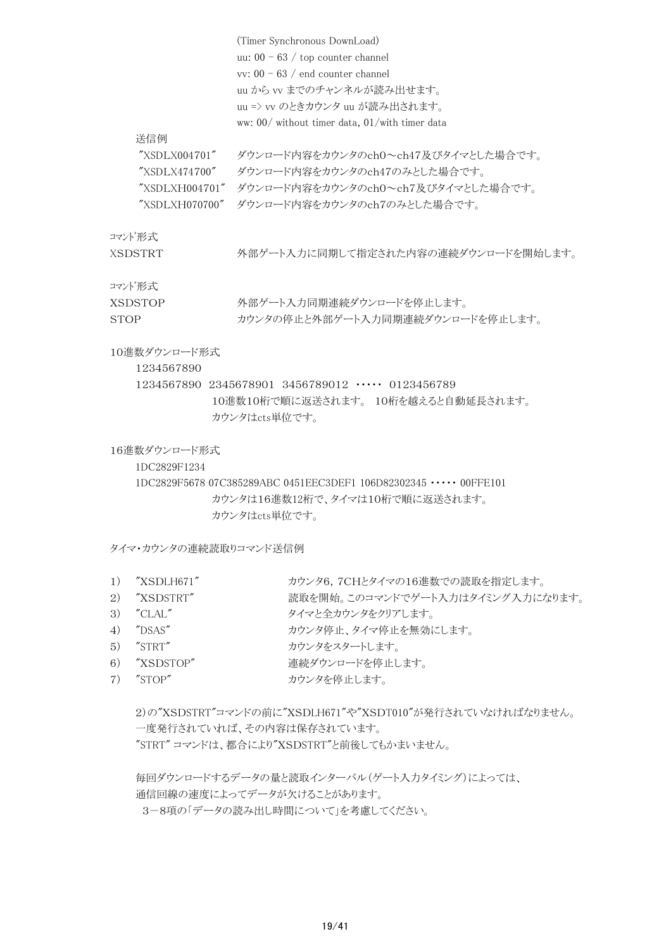|                | (Timer Synchronous DownLoad)                   |
|----------------|------------------------------------------------|
|                | uu: $00 - 63$ / top counter channel            |
|                | vv: $00 - 63$ / end counter channel            |
|                | uu から vv までのチャンネルが読み出せます。                      |
|                | uu => vv のときカウンタ uu が読み出されます。                  |
|                | ww: 00/ without timer data, 01/with timer data |
| 送信例            |                                                |
| "XSDLX004701"  | ダウンロード内容をカウンタのch0~ch47及びタイマとした場合です。            |
| "XSDLX474700"  | ダウンロード内容をカウンタのch47のみとした場合です。                   |
| "XSDLXH004701" | ダウンロード内容をカウンタのch0~ch7及びタイマとした場合です。             |
| "XSDLXH070700" | ダウンロード内容をカウンタのch7のみとした場合です。                    |
| コマンド形式         |                                                |
| XSDSTRT        | 外部ゲート入力に同期して指定された内容の連続ダウンロードを開始します。            |

#### コマンド形式

| <b>XSDSTOP</b> | 外部ゲート入力同期連続ダウンロードを停止します。         |
|----------------|----------------------------------|
| <b>STOP</b>    | カウンタの停止と外部ゲート入力同期連続ダウンロードを停止します。 |

# 10進数ダウンロード形式

1234567890

1234567890 2345678901 3456789012 ・・・・・ 0123456789 10進数10桁で順に返送されます。 10桁を越えると自動延長されます。 カウンタはcts単位です。

16進数ダウンロード形式

1DC2829F1234

1DC2829F5678 07C385289ABC 0451EEC3DEF1 106D82302345 ・・・・・ 00FFE101 カウンタは16進数12桁で、タイマは10桁で順に返送されます。 カウンタはcts単位です。

タイマ・カウンタの連続読取りコマンド送信例

- 1) "XSDLH671" カウンタ6,7CHとタイマの16進数での読取を指定します。
- 2) "XSDSTRT" 読取を開始。このコマンドでゲート入力はタイミング入力になります。
- 3) "CLAL" タイマと全カウンタをクリアします。
- 4) "DSAS" カウンタ停止、タイマ停止を無効にします。
- 5) "STRT" カウンタをスタートします。
- 6) "XSDSTOP" 連続ダウンロードを停止します。
- 7) "STOP" カウンタを停止します。

```
2)の"XSDSTRT"コマンドの前に"XSDLH671"や"XSDT010"が発行されていなければなりません。
一度発行されていれば、その内容は保存されています。
"STRT" コマンドは、都合により"XSDSTRT"と前後してもかまいません。
```

```
毎回ダウンロードするデータの量と読取インターバル(ゲート入力タイミング)によっては、
通信回線の速度によってデータが欠けることがあります。
```
3-8項の「データの読み出し時間について」を考慮してください。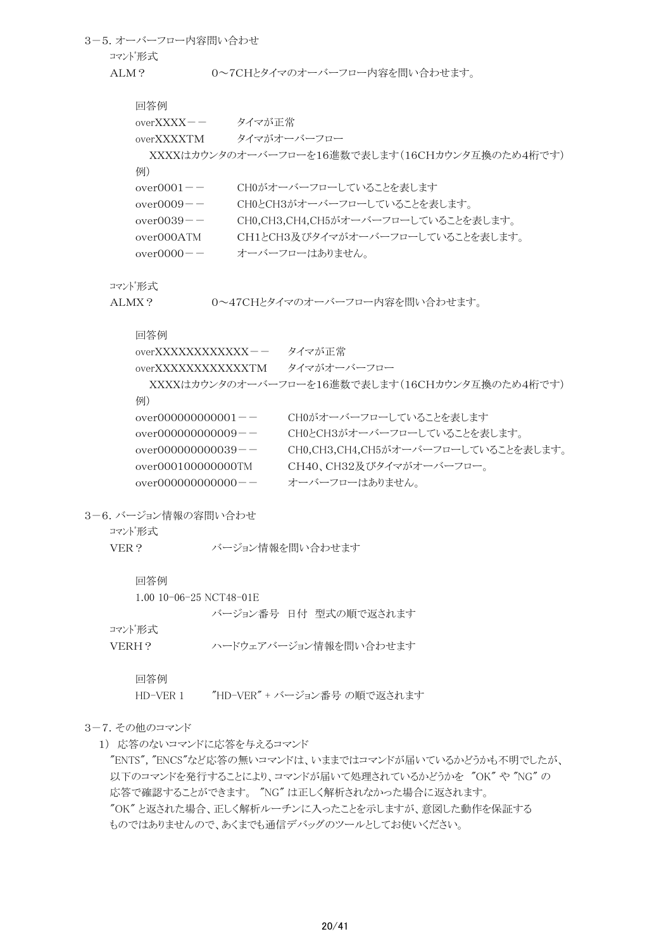3-5.オーバーフロー内容問い合わせ コマンド形式 ALM? 0~7CHとタイマのオーバーフロー内容を問い合わせます。 回答例 overXXXX-- タイマが正常 overXXXXTM タイマがオーバーフロー XXXXはカウンタのオーバーフローを16進数で表します(16CHカウンタ互換のため4桁です) 例) over0001-- CH0がオーバーフローしていることを表します over0009-- CH0とCH3がオーバーフローしていることを表します。 over0039-- CH0,CH3,CH4,CH5がオーバーフローしていることを表します。 over000ATM CH1とCH3及びタイマがオーバーフローしていることを表します。 over0000-- オーバーフローはありません。

#### コマンド形式

ALMX? 0~47CHとタイマのオーバーフロー内容を問い合わせます。

#### 回答例

| $overXXXXXXXXXXXXX - -$ | タイマが正常                                         |
|-------------------------|------------------------------------------------|
| overXXXXXXXXXXXXTM      | タイマがオーバーフロー                                    |
|                         | XXXXはカウンタのオーバーフローを16進数で表します(16CHカウンタ互換のため4桁です) |
| 例)                      |                                                |
| $over00000000000001 --$ | CHOがオーバーフローしていることを表します                         |
| over $00000000009$ -    | CH0とCH3がオーバーフローしていることを表します。                    |
| over $000000000039 - -$ | CH0,CH3,CH4,CH5がオーバーフローしていることを表します。            |
| over000100000000TM      | CH40、CH32及びタイマがオーバーフロー。                        |
| $over00000000000000--$  | オーバーフローはありません。                                 |

3-6.バージョン情報の容問い合わせ

コマンド形式

VER? バージョン情報を問い合わせます

#### 回答例

1.00 10-06-25 NCT48-01E

バージョン番号 日付 型式の順で返されます

# コマンド形式

VERH? ハードウェアバージョン情報を問い合わせます

#### 回答例

HD-VER 1 "HD-VER" + バージョン番号 の順で返されます

#### 3-7.その他のコマンド

1) 応答のないコマンドに応答を与えるコマンド

"ENTS", "ENCS"など応答の無いコマンドは、いままではコマンドが届いているかどうかも不明でしたが、 以下のコマンドを発行することにより、コマンドが届いて処理されているかどうかを "OK" や "NG" の 応答で確認することができます。 "NG" は正しく解析されなかった場合に返されます。 "OK" と返された場合、正しく解析ルーチンに入ったことを示しますが、意図した動作を保証する ものではありませんので、あくまでも通信デバッグのツールとしてお使いください。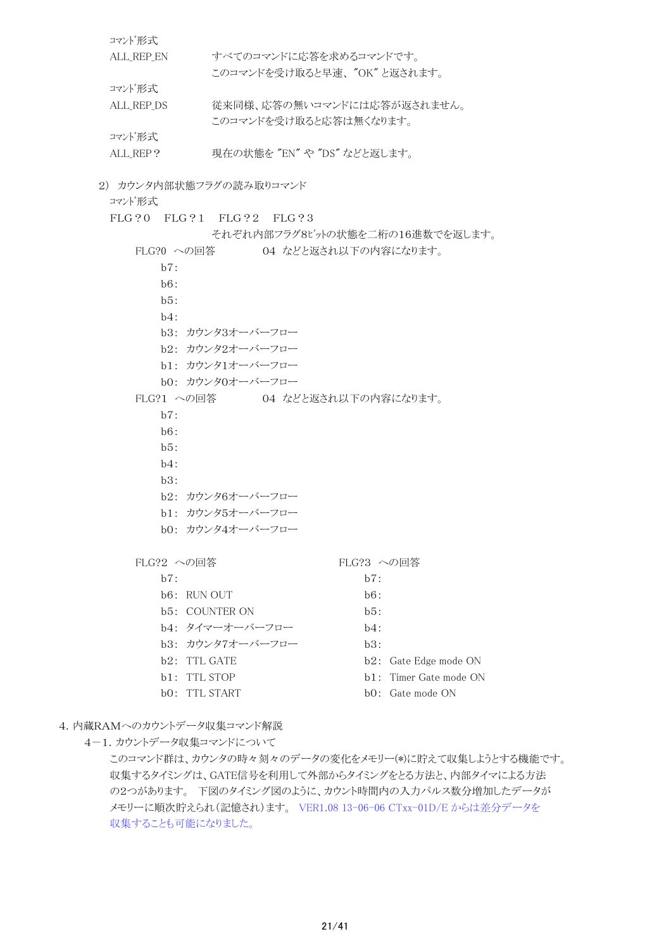| コマンド形式                          |                                 |                          |  |  |
|---------------------------------|---------------------------------|--------------------------|--|--|
| ALL_REP_EN                      | すべてのコマンドに応答を求めるコマンドです。          |                          |  |  |
|                                 | このコマンドを受け取ると早速、"OK"と返されます。      |                          |  |  |
| コマンド形式                          |                                 |                          |  |  |
| ALL_REP_DS                      | 従来同様、応答の無いコマンドには応答が返されません。      |                          |  |  |
|                                 | このコマンドを受け取ると応答は無くなります。          |                          |  |  |
| コマンド形式                          |                                 |                          |  |  |
| ALL_REP?                        | 現在の状態を"EN"や"DS"などと返します。         |                          |  |  |
| 2) カウンタ内部状態フラグの読み取りコマンド         |                                 |                          |  |  |
| コマンド形式                          |                                 |                          |  |  |
|                                 | FLG?0 FLG?1 FLG?2 FLG?3         |                          |  |  |
|                                 | それぞれ内部フラグ8ビットの状態を二桁の16進数でを返します。 |                          |  |  |
| FLG?0 への回答                      | 04 などと返され以下の内容になります。            |                          |  |  |
| b7:                             |                                 |                          |  |  |
| b6:                             |                                 |                          |  |  |
| b5:                             |                                 |                          |  |  |
| h4:                             |                                 |                          |  |  |
|                                 | b3: カウンタ3オーバーフロー                |                          |  |  |
|                                 | b2: カウンタ2オーバーフロー                |                          |  |  |
|                                 | b1: カウンタ1オーバーフロー                |                          |  |  |
|                                 | b0: カウンタ0オーバーフロー                |                          |  |  |
| FLG?1 への回答 04 などと返され以下の内容になります。 |                                 |                          |  |  |
| b7:                             |                                 |                          |  |  |
| b6:                             |                                 |                          |  |  |
| b5:                             |                                 |                          |  |  |
| $b4$ :                          |                                 |                          |  |  |
| b3:                             |                                 |                          |  |  |
|                                 | b2: カウンタ6オーバーフロー                |                          |  |  |
|                                 | b1: カウンタ5オーバーフロー                |                          |  |  |
|                                 | b0: カウンタ4オーバーフロー                |                          |  |  |
| FLG?2 への回答                      |                                 | FLG?3 への回答               |  |  |
| b7:                             |                                 | b7:                      |  |  |
| b6: RUN OUT                     |                                 | b6:                      |  |  |
| <b>b5: COUNTER ON</b>           |                                 | b5:                      |  |  |
|                                 | b4: タイマーオーバーフロー                 | $b4$ :                   |  |  |
|                                 | b3: カウンタ7オーバーフロー                | b3:                      |  |  |
| b <sub>2</sub> : TTL GATE       |                                 | b2:<br>Gate Edge mode ON |  |  |
| b1: TTL STOP                    |                                 | b1: Timer Gate mode ON   |  |  |
| b0:                             | TTL START                       | bO: Gate mode ON         |  |  |

4.内蔵RAMへのカウントデータ収集コマンド解説

4-1.カウントデータ収集コマンドについて

このコマンド群は、カウンタの時々刻々のデータの変化をメモリー(\*)に貯えて収集しようとする機能です。 収集するタイミングは、GATE信号を利用して外部からタイミングをとる方法と、内部タイマによる方法 の2つがあります。 下図のタイミング図のように、カウント時間内の入力パルス数分増加したデータが メモリーに順次貯えられ(記憶され)ます。 VER1.08 13-06-06 CTxx-01D/E からは差分データを 収集することも可能になりました。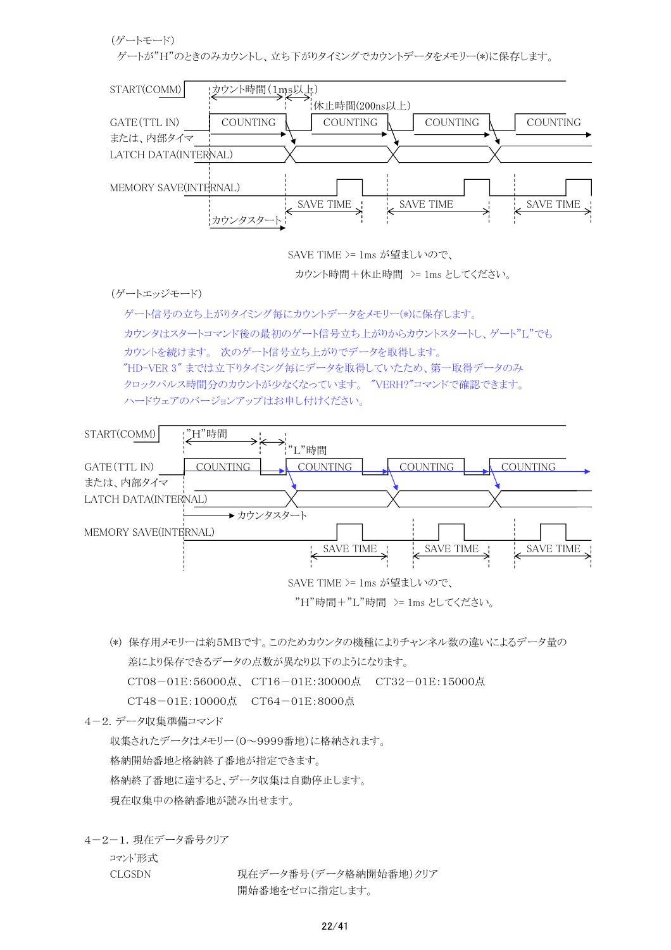(ゲートモード)

ゲートが"H"のときのみカウントし、立ち下がりタイミングでカウントデータをメモリー(\*)に保存します。



SAVE TIME >= 1ms が望ましいので、

カウント時間+休止時間 >= 1ms としてください。

(ゲートエッジモード)

 ゲート信号の立ち上がりタイミング毎にカウントデータをメモリー(\*)に保存します。 カウンタはスタートコマンド後の最初のゲート信号立ち上がりからカウントスタートし、ゲート"L"でも カウントを続けます。 次のゲート信号立ち上がりでデータを取得します。 "HD-VER 3" までは立下りタイミング毎にデータを取得していたため、第一取得データのみ クロックパルス時間分のカウントが少なくなっています。 "VERH?"コマンドで確認できます。 ハードウェアのバージョンアップはお申し付けください。



(\*) 保存用メモリーは約5MBです。このためカウンタの機種によりチャンネル数の違いによるデータ量の 差により保存できるデータの点数が異なり以下のようになります。 CT08-01E:56000点、 CT16-01E:30000点 CT32-01E:15000点

CT48-01E:10000点 CT64-01E:8000点

4-2.データ収集準備コマンド

収集されたデータはメモリー(0~9999番地)に格納されます。 格納開始番地と格納終了番地が指定できます。 格納終了番地に達すると、データ収集は自動停止します。 現在収集中の格納番地が読み出せます。

4-2-1.現在データ番号クリア

コマンド形式

CLGSDN 現在データ番号(データ格納開始番地)クリア 開始番地をゼロに指定します。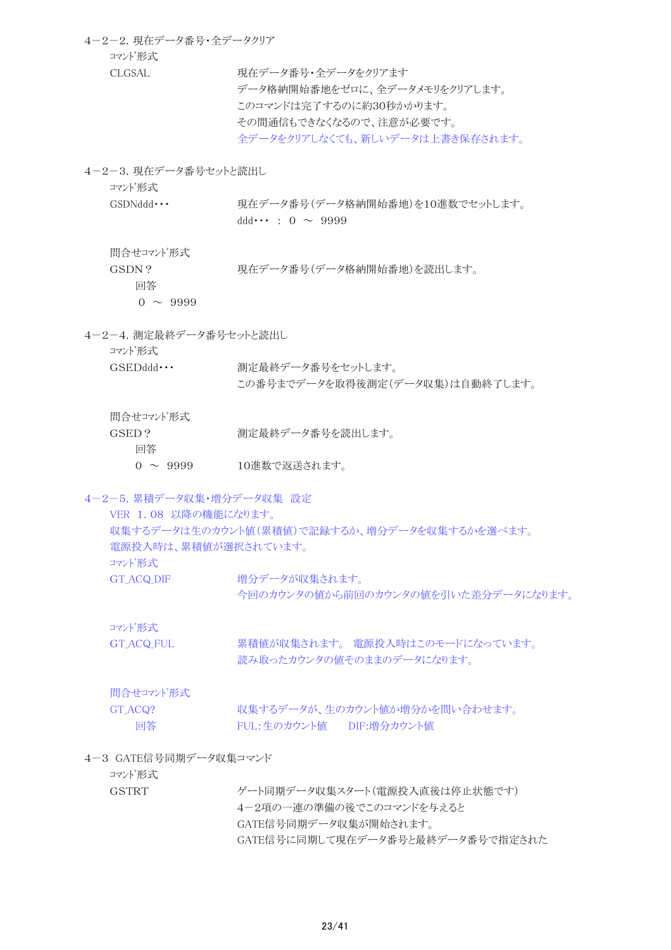4-2-2.現在データ番号・全データクリア コマンド形式 CLGSAL 現在データ番号·全データをクリアます データ格納開始番地をゼロに、全データメモリをクリアします。 このコマンドは完了するのに約30秒かかります。 その間通信もできなくなるので、注意が必要です。

全データをクリアしなくても、新しいデータは上書き保存されます。

4-2-3. 現在データ番号セットと読出し

コマンド形式

GSDNddd ··· 現在データ番号(データ格納開始番地)を10進数でセットします。  $ddd \cdots : 0 \sim 9999$ 

問合せコマンド形式

GSDN? 現在データ番号(データ格納開始番地)を読出します。

回答

 $0 \sim 9999$ 

4-2-4.測定最終データ番号セットと読出し

コマンド形式

GSEDddd ··· 測定最終データ番号をセットします。 この番号までデータを取得後測定(データ収集)は自動終了します。

問合せコマンド形式

GSED? 測定最終データ番号を読出します。

回答

0 ~ 9999 10進数で返送されます。

4-2-5.累積データ収集・増分データ収集 設定

VER 1.08 以降の機能になります。 収集するデータは生のカウント値(累積値)で記録するか、増分データを収集するかを選べます。 電源投入時は、累積値が選択されています。 コマンド形式 GT ACQ DIF 増分データが収集されます。 今回のカウンタの値から前回のカウンタの値を引いた差分データになります。

コマンド形式

GT\_ACQ\_FUL 果積値が収集されます。 電源投入時はこのモードになっています。 読み取ったカウンタの値そのままのデータになります。

問合せコマンド形式

GT ACQ? <br>
収集するデータが、生のカウント値か増分かを問い合わせます。 回答 FUL:生のカウント値 DIF:増分カウント値

# 4-3 GATE信号同期データ収集コマンド

コマンド形式

GSTRT ゲート同期データ収集スタート(電源投入直後は停止状態です) 4-2項の一連の準備の後でこのコマンドを与えると GATE信号同期データ収集が開始されます。 GATE信号に同期して現在データ番号と最終データ番号で指定された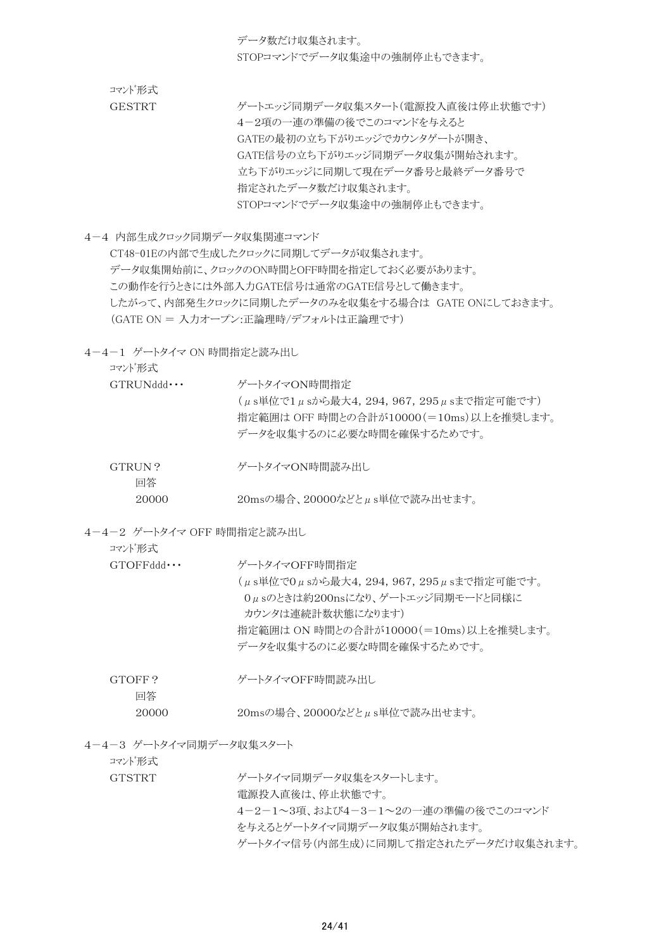データ数だけ収集されます。 STOPコマンドでデータ収集途中の強制停止もできます。

コマンド形式

GESTRT ゲートエッジ同期データ収集スタート(電源投入直後は停止状態です) 4-2項の一連の準備の後でこのコマンドを与えると GATEの最初の立ち下がりエッジでカウンタゲートが開き、 GATE信号の立ち下がりエッジ同期データ収集が開始されます。 立ち下がりエッジに同期して現在データ番号と最終データ番号で 指定されたデータ数だけ収集されます。 STOPコマンドでデータ収集途中の強制停止もできます。

4-4 内部生成クロック同期データ収集関連コマンド

CT48-01Eの内部で生成したクロックに同期してデータが収集されます。 データ収集開始前に、クロックのON時間とOFF時間を指定しておく必要があります。 この動作を行うときには外部入力GATE信号は通常のGATE信号として働きます。 したがって、内部発生クロックに同期したデータのみを収集をする場合は GATE ONにしておきます。 (GATE ON = 入力オープン:正論理時/デフォルトは正論理です)

4-4-1 ゲートタイマ ON 時間指定と読み出し

コマンド形式

| GTRIJNddd    | ゲートタイマON時間指定                                                                                                    |
|--------------|-----------------------------------------------------------------------------------------------------------------|
|              | (μs単位で1μsから最大4, 294, 967, 295μsまで指定可能です)<br>指定範囲は OFF 時間との合計が10000(=10ms)以上を推奨します。<br>データを収集するのに必要な時間を確保するためです。 |
| GTRUN?<br>回答 | ゲートタイマON時間読み出し                                                                                                  |

- 20000 20msの場合、20000などとμs単位で読み出せます。
- 4-4-2 ゲートタイマ OFF 時間指定と読み出し

| コマンド形式   |                                       |
|----------|---------------------------------------|
| GTOFFAdd | ゲートタイマOFF時間指定                         |
|          | (μs単位で0μsから最大4,294,967,295μsまで指定可能です。 |
|          | Oμsのときは約200nsになり、ゲートエッジ同期モードと同様に      |
|          | カウンタは連続計数状熊になります)                     |
|          | 指定範囲は ON 時間との合計が10000(=10ms)以上を推奨します。 |
|          | データを収集するのに必要な時間を確保するためです。             |
|          |                                       |
| GTOFF?   | ゲートタイマOFF時間読み出し                       |
| 回答       |                                       |

- 20000 20msの場合、20000などとμs単位で読み出せます。
- 4-4-3 ゲートタイマ同期データ収集スタート

コマンド形式

GTSTRT ゲートタイマ同期データ収集をスタートします。

電源投入直後は、停止状態です。

4-2-1~3項、および4-3-1~2の一連の準備の後でこのコマンド

を与えるとゲートタイマ同期データ収集が開始されます。

ゲートタイマ信号(内部生成)に同期して指定されたデータだけ収集されます。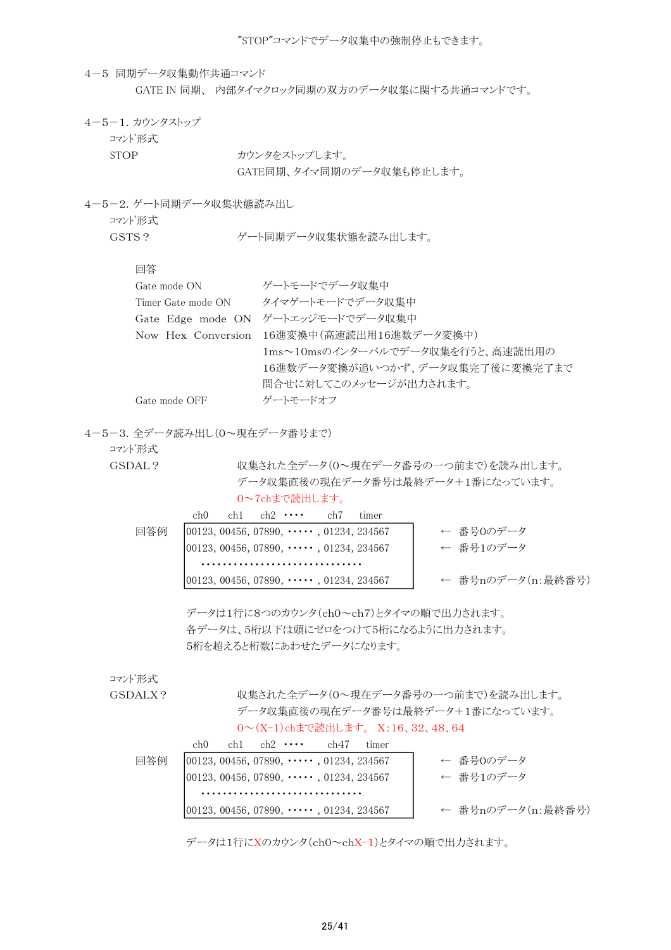"STOP"コマンドでデータ収集中の強制停止もできます。

4-5 同期データ収集動作共通コマンド GATE IN 同期、 内部タイマクロック同期の双方のデータ収集に関する共通コマンドです。

- 4-5-1.カウンタストップ
	- コマンド形式
		-

STOP カウンタをストップします。 GATE同期、タイマ同期のデータ収集も停止します。

4-5-2.ゲート同期データ収集状態読み出し

コマンド形式

GSTS? ダート同期データ収集状態を読み出します。

回答

| Gate mode ON       | ゲートモードでデータ収集中                              |
|--------------------|--------------------------------------------|
| Timer Gate mode ON | タイマゲートモードでデータ収集中                           |
| Gate Edge mode ON  | ゲートエッジモードでデータ収集中                           |
|                    | Now Hex Conversion 16進変換中(高速読出用16進数データ変換中) |
|                    | 1ms~10msのインターバルでデータ収集を行うと、高速読出用の           |
|                    | 16進数データ変換が追いつかず、データ収集完了後に変換完了まで            |
|                    | 間合せに対してこのメッセージが出力されます。                     |
| Gate mode OFF      | ゲートモードオフ                                   |

4-5-3.全データ読み出し(0~現在データ番号まで)

コマンド形式

GSDAL? <br>
収集された全データ(0~現在データ番号の一つ前まで)を読み出します。 データ収集直後の現在データ番号は最終データ+1番になっています。 0~7chまで読出します。 ch0 ch1 ch2 ・・・・ ch7 timer

| 同答例 | $[00123, 00456, 07890, \cdots, 01234, 234567]$ | ← 番号Oのデータ         |
|-----|------------------------------------------------|-------------------|
|     | $ 00123, 00456, 07890, \cdots, 01234, 234567$  | ← 番号1のデータ         |
|     |                                                |                   |
|     | $ 00123, 00456, 07890, \cdots, 01234, 234567$  | ← 番号nのデータ(n:最終番号) |

データは1行に8つのカウンタ(ch0~ch7)とタイマの順で出力されます。 各データは、5桁以下は頭にゼロをつけて5桁になるように出力されます。 5桁を超えると桁数にあわせたデータになります。

コマンド形式

GSDALX? <br>
収集された全データ(0~現在データ番号の一つ前まで)を読み出します。 データ収集直後の現在データ番号は最終データ+1番になっています。 0~(X-1)chまで読出します。 X:16、32、48、64

|     | ch() |  | $ch1$ $ch2$ $\cdots$ | ch47                                           | tımer |                   |
|-----|------|--|----------------------|------------------------------------------------|-------|-------------------|
| 同答例 |      |  |                      | $ 00123, 00456, 07890, \cdots, 01234, 234567$  |       | ← 番号Oのデータ         |
|     |      |  |                      | $ 00123, 00456, 07890, \cdots, 01234, 234567$  |       | ← 番号1のデータ         |
|     |      |  |                      |                                                |       |                   |
|     |      |  |                      | $[00123, 00456, 07890, \cdots, 01234, 234567]$ |       | ← 番号nのデータ(n:最終番号) |

データは1行にXのカウンタ(ch0~chX-1)とタイマの順で出力されます。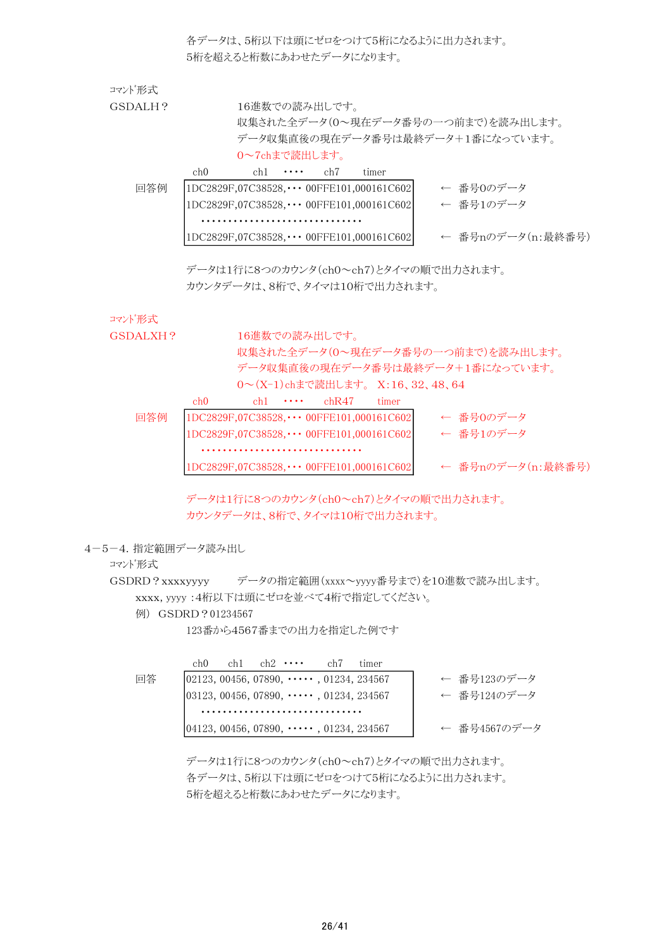各データは、5桁以下は頭にゼロをつけて5桁になるように出力されます。 5桁を超えると桁数にあわせたデータになります。

| コマンド形式  |                 |               |                  |               |                                                  |                                    |  |
|---------|-----------------|---------------|------------------|---------------|--------------------------------------------------|------------------------------------|--|
| GSDALH? |                 |               |                  | 16進数での読み出しです。 |                                                  |                                    |  |
|         |                 |               |                  |               |                                                  | 収集された全データ(0〜現在データ番号の一つ前まで)を読み出します。 |  |
|         |                 |               |                  |               |                                                  | データ収集直後の現在データ番号は最終データ+1番になっています。   |  |
|         |                 | 0~7chまで読出します。 |                  |               |                                                  |                                    |  |
|         | ch <sub>0</sub> |               | ch1 $\cdots$ ch7 |               | timer                                            |                                    |  |
| 回答例     |                 |               |                  |               | $ 1DC2829F,07C38528,\cdots 00$ FFE101,000161C602 | ← 番号0のデータ                          |  |
|         |                 |               |                  |               | $1DC2829F,07C38528,\cdots$ 00FFE101,000161C602   | ← 番号1のデータ                          |  |
|         |                 |               |                  |               |                                                  |                                    |  |
|         |                 |               |                  |               | $1DC2829F,07C38528,\cdots$ 00FFE101,000161C602   | ← 番号nのデータ(n:最終番号)                  |  |

データは1行に8つのカウンタ(ch0~ch7)とタイマの順で出力されます。 カウンタデータは、8桁で、タイマは10桁で出力されます。

#### コマンド形式

GSDALXH? 16進数での読み出しです。 収集された全データ(0~現在データ番号の一つ前まで)を読み出します。 データ収集直後の現在データ番号は最終データ+1番になっています。 0~(X-1)chまで読出します。 X:16、32、48、64

|     | ch0                                              | $ch1 \cdot \cdot \cdot \cdot$ | chR47                                            | timer |                   |
|-----|--------------------------------------------------|-------------------------------|--------------------------------------------------|-------|-------------------|
| 回答例 | $ 1DC2829F,07C38528,\cdots 00FFE101,000161C602 $ |                               |                                                  |       | ← 番号0のデータ         |
|     |                                                  |                               | 1DC2829F,07C38528, ••• 00FFE101,000161C602       |       | ← 番号1のデータ         |
|     |                                                  |                               |                                                  |       |                   |
|     |                                                  |                               | $ 1DC2829F,07C38528,\cdots 00FFE101,000161C602 $ |       | ← 番号nのデータ(n:最終番号) |

データは1行に8つのカウンタ(ch0~ch7)とタイマの順で出力されます。 カウンタデータは、8桁で、タイマは10桁で出力されます。

4-5-4.指定範囲データ読み出し

#### コマンド形式

GSDRD?xxxxyyyy データの指定範囲(xxxx~yyyy番号まで)を10進数で読み出します。 xxxx, yyyy :4桁以下は頭にゼロを並べて4桁で指定してください。

例) GSDRD?01234567

123番から4567番までの出力を指定した例です

|    | ch0 | $ch1$ $ch2$ $\cdots$ | ch7                                            | timer |              |
|----|-----|----------------------|------------------------------------------------|-------|--------------|
| 回答 |     |                      | $ 02123, 00456, 07890, \cdots, 01234, 234567$  |       | ← 番号123のデータ  |
|    |     |                      | $ 03123, 00456, 07890, \cdots, 01234, 234567$  |       | ← 番号124のデータ  |
|    |     |                      |                                                |       |              |
|    |     |                      | $[04123, 00456, 07890, \cdots, 01234, 234567]$ |       | ← 番号4567のデータ |

データは1行に8つのカウンタ(ch0~ch7)とタイマの順で出力されます。 各データは、5桁以下は頭にゼロをつけて5桁になるように出力されます。 5桁を超えると桁数にあわせたデータになります。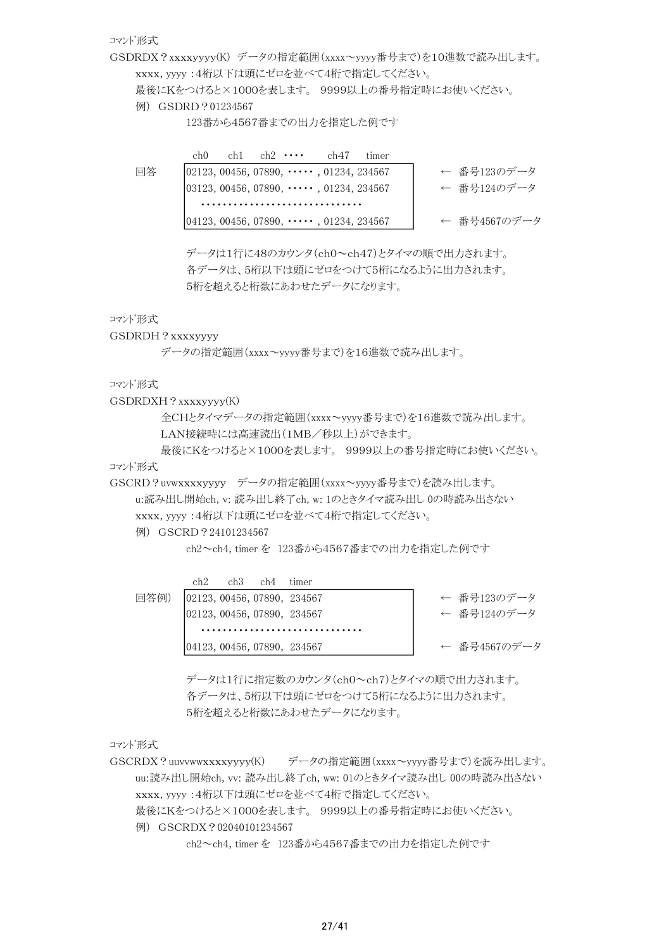コマンド形式

GSDRDX?xxxxyyyy(K) データの指定範囲(xxxx~yyyy番号まで)を10進数で読み出します。 xxxx, yyyy :4桁以下は頭にゼロを並べて4桁で指定してください。

最後にKをつけると×1000を表します。 9999以上の番号指定時にお使いください。

例) GSDRD?01234567

123番から4567番までの出力を指定した例です

ch0 ch1 ch2  $\cdots$  ch47 timer 回答 | 02123, 00456, 07890, ・・・・・, 01234, 234567 | ← 番号123のデータ 03123, 00456, 07890, ・・・・・, 01234, 234567 ← 番号124のデータ ・・・・・・・・・・・・・・・・・・・・・・・・・・・・・・ |04123, 00456, 07890, ・・・・・, 01234, 234567 │ ← 番号4567のデータ

> データは1行に48のカウンタ(ch0~ch47)とタイマの順で出力されます。 各データは、5桁以下は頭にゼロをつけて5桁になるように出力されます。 5桁を超えると桁数にあわせたデータになります。

コマンド形式

GSDRDH?xxxxyyyy

データの指定範囲(xxxx~yyyy番号まで)を16進数で読み出します。

コマンド形式

GSDRDXH?xxxxyyyy(K)

全CHとタイマデータの指定範囲(xxxx~yyyy番号まで)を16進数で読み出します。 LAN接続時には高速読出(1MB/秒以上)ができます。

最後にKをつけると×1000を表します。 9999以上の番号指定時にお使いください。 コマンド形式

GSCRD?uvwxxxxyyyy データの指定範囲(xxxx~yyyy番号まで)を読み出します。

u:読み出し開始ch, v: 読み出し終了ch, w: 1のときタイマ読み出し 0の時読み出さない xxxx, yyyy :4桁以下は頭にゼロを並べて4桁で指定してください。

例) GSCRD?24101234567

ch2~ch4, timer を 123番から4567番までの出力を指定した例です

|      | ch2 | $ch3$ $ch4$ | timer                       |              |
|------|-----|-------------|-----------------------------|--------------|
| 回答例) |     |             | 02123, 00456, 07890, 234567 | ← 番号123のデータ  |
|      |     |             | 02123, 00456, 07890, 234567 | ← 番号124のデータ  |
|      |     |             |                             |              |
|      |     |             | 04123, 00456, 07890, 234567 | ← 番号4567のデータ |

データは1行に指定数のカウンタ(ch0~ch7)とタイマの順で出力されます。 各データは、5桁以下は頭にゼロをつけて5桁になるように出力されます。 5桁を超えると桁数にあわせたデータになります。

コマンド形式

GSCRDX?uuvvwwxxxxyyyy(K) データの指定範囲(xxxx~yyyy番号まで)を読み出します。 uu:読み出し開始ch, vv: 読み出し終了ch, ww: 01のときタイマ読み出し 00の時読み出さない xxxx, yyyy :4桁以下は頭にゼロを並べて4桁で指定してください。 最後にKをつけると×1000を表します。 9999以上の番号指定時にお使いください。 例) GSCRDX ? 02040101234567

ch2~ch4, timer を 123番から4567番までの出力を指定した例です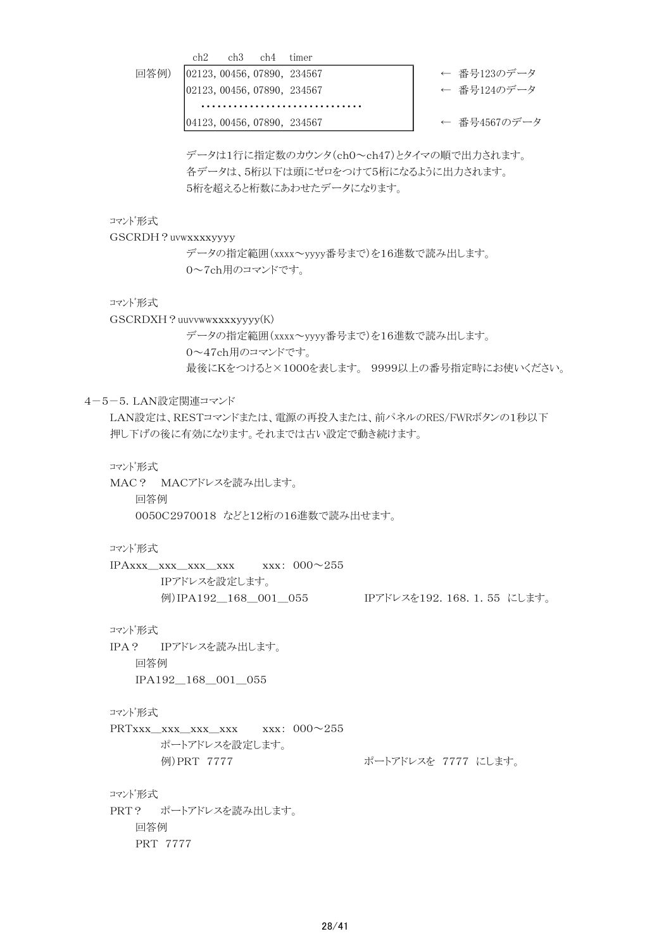ch2 ch3 ch4 timer

回答例) |02123, 00456, 07890, 234567 ← 一番号123のデータ

|02123,00456,07890,234567 ← 备号124のデータ ・・・・・・・・・・・・・・・・・・・・・・・・・・・・・・

|04123,00456,07890,234567 ← 备号4567のデータ

データは1行に指定数のカウンタ(ch0~ch47)とタイマの順で出力されます。 各データは、5桁以下は頭にゼロをつけて5桁になるように出力されます。 5桁を超えると桁数にあわせたデータになります。

コマンド形式

GSCRDH?uvwxxxxyyyy

データの指定範囲(xxxx~yyyy番号まで)を16進数で読み出します。 0~7ch用のコマンドです。

コマンド形式

GSCRDXH?uuvvwwxxxxyyyy(K)

データの指定範囲(xxxx~yyyy番号まで)を16進数で読み出します。 0~47ch用のコマンドです。 最後にKをつけると×1000を表します。 9999以上の番号指定時にお使いください。

# 4-5-5.LAN設定関連コマンド

LAN設定は、RESTコマンドまたは、電源の再投入または、前パネルのRES/FWRボタンの1秒以下 押し下げの後に有効になります。それまでは古い設定で動き続けます。

コマンド形式

MAC? MACアドレスを読み出します。 回答例 0050C2970018 などと12桁の16進数で読み出せます。

コマンド形式

IPAxxx\_xxx\_xxx\_xxx xxx: 000~255 IPアドレスを設定します。 例)IPA192\_168\_001\_055 IPアドレスを192.168.1.55 にします。

コマンド形式

IPA? IPアドレスを読み出します。 回答例 IPA192\_168\_001\_055

コマンド形式

PRTxxx\_xxx\_xxx\_xxx xxx: 000~255 ポートアドレスを設定します。 例)PRT 7777 レンス ポートアドレスを 7777 にします。

コマンド形式 PRT? ポートアドレスを読み出します。 回答例 PRT 7777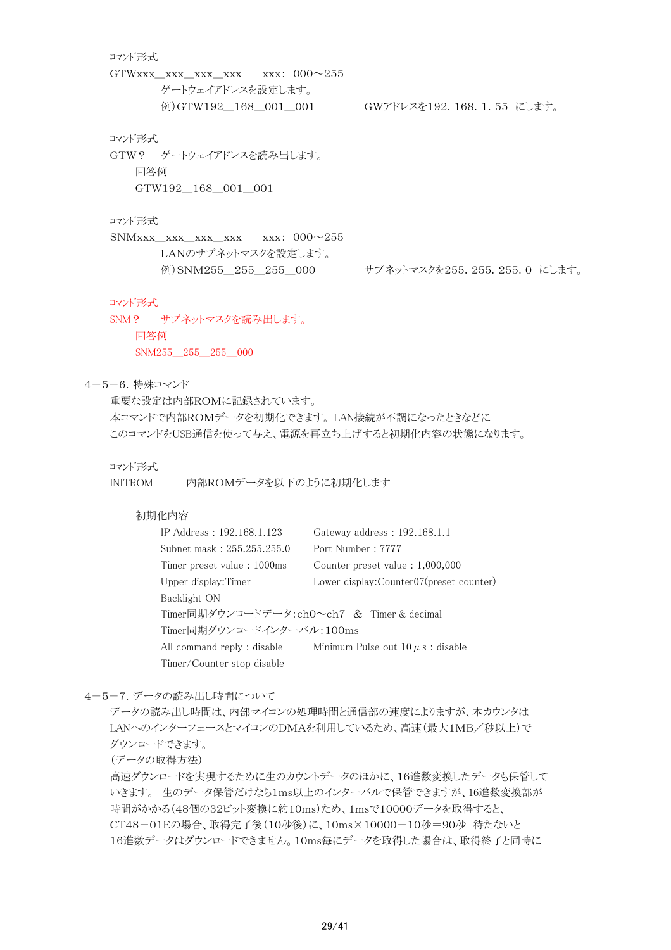# コマンド形式 GTWxxx\_xxx\_xxx\_xxx xxx:  $000\sim\!255$ ゲートウェイアドレスを設定します。 例)GTW192 168 001 001 GWアドレスを192.168.1.55 にします。 コマンド形式 GTW? ゲートウェイアドレスを読み出します。 回答例 GTW192\_168\_001\_001 コマンド形式 SNMxxx\_xxx\_xxx\_xxx xxx: 000~255 LANのサブネットマスクを設定します。 例) SNM255 255 255 000 サブネットマスクを255.255.255.0 にします。 コマンド形式 SNM? サブネットマスクを読み出します。 回答例 SNM255 255 255 000 4-5-6.特殊コマンド 重要な設定は内部ROMに記録されています。 本コマンドで内部ROMデータを初期化できます。 LAN接続が不調になったときなどに このコマンドをUSB通信を使って与え、電源を再立ち上げすると初期化内容の状態になります。 コマンド形式 INITROM 内部ROMデータを以下のように初期化します

# 初期化内容

| IP Address: 192.168.1.123                  | Gateway address: 192.168.1.1             |
|--------------------------------------------|------------------------------------------|
| Subnet mask: 255.255.255.0                 | Port Number: 7777                        |
| Timer preset value: 1000ms                 | Counter preset value $: 1,000,000$       |
| Upper display: Timer                       | Lower display: Counter07(preset counter) |
| Backlight ON                               |                                          |
| Timer同期ダウンロードデータ:ch0~ch7 & Timer & decimal |                                          |
| Timer同期ダウンロードインターバル:100ms                  |                                          |
| All command reply : disable                | Minimum Pulse out $10 \mu s$ : disable   |
| Timer/Counter stop disable                 |                                          |

4-5-7.データの読み出し時間について

データの読み出し時間は、内部マイコンの処理時間と通信部の速度によりますが、本カウンタは LANへのインターフェースとマイコンのDMAを利用しているため、高速(最大1MB/秒以上)で ダウンロードできます。

(データの取得方法)

高速ダウンロードを実現するために生のカウントデータのほかに、16進数変換したデータも保管して いきます。 生のデータ保管だけなら1ms以上のインターバルで保管できますが、16進数変換部が 時間がかかる(48個の32ビット変換に約10ms)ため、1msで10000データを取得すると、 CT48-01Eの場合、取得完了後(10秒後)に、10ms×10000-10秒=90秒 待たないと 16進数データはダウンロードできません。10ms毎にデータを取得した場合は、取得終了と同時に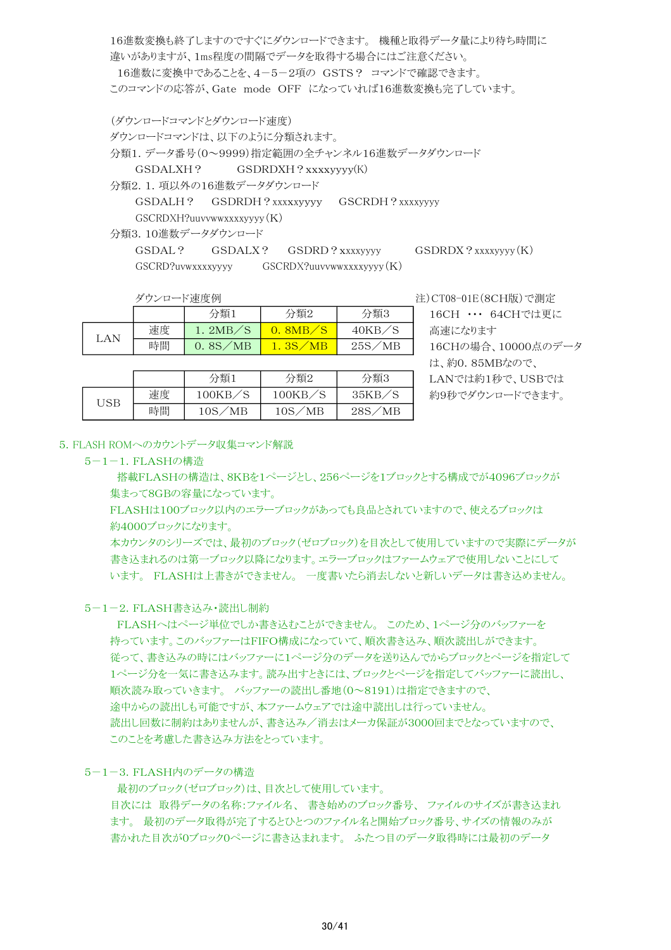16進数変換も終了しますのですぐにダウンロードできます。 機種と取得データ量により待ち時間に 違いがありますが、1ms程度の間隔でデータを取得する場合にはご注意ください。 16進数に変換中であることを、4-5-2項の GSTS? コマンドで確認できます。 このコマンドの応答が、Gate mode OFF になっていれば16進数変換も完了しています。

(ダウンロードコマンドとダウンロード速度) ダウンロードコマンドは、以下のように分類されます。 分類1.データ番号(0~9999)指定範囲の全チャンネル16進数データダウンロード GSDALXH? GSDRDXH?xxxxyyyy(K) 分類2.1.項以外の16進数データダウンロード

GSDALH? GSDRDH?xxxxyyyy GSCRDH?xxxxyyyy GSCRDXH?uuvvwwxxxxyyyy(K)

分類3.10進数データダウンロード

GSDAL? GSDALX? GSDRD?xxxxyyyy GSDRDX?xxxxyyyy(K) GSCRD?uvwxxxxyyyy GSCRDX?uuvvwwxxxxyyyy(K)

|  |     | ダウンロード速度例 |         |         |        |
|--|-----|-----------|---------|---------|--------|
|  |     |           | 分類1     | 分類2     | 分類3    |
|  | LAN | 速度        | 1.2MB/S | 0.8MB/S | 40KB/S |
|  |     | 時間        | 0.8S/MB | 1.3S/MB | 25S/MB |

分類1 分類2

時間 | 10S/MB | 10S/MB | 28S/MB

USB 速度 100KB/S 100KB/S 35KB/S

注)CT08-01E(8CH版)で測定

16CH ··· 64CHでは更に 高速になります 16CHの場合、10000点のデータ は、約0.85MBなので、 LANでは約1秒で、USBでは 約9秒でダウンロードできます。

|  | 5. FLASH ROMへのカウントデータ収集コマンド解説 |
|--|-------------------------------|
|  |                               |

# 5-1-1.FLASHの構造

 搭載FLASHの構造は、8KBを1ページとし、256ページを1ブロックとする構成でが4096ブロックが 集まって8GBの容量になっています。

分類3

FLASHは100ブロック以内のエラーブロックがあっても良品とされていますので、使えるブロックは 約4000ブロックになります。

本カウンタのシリーズでは、最初のブロック(ゼロブロック)を目次として使用していますので実際にデータが 書き込まれるのは第一ブロック以降になります。エラーブロックはファームウェアで使用しないことにして います。 FLASHは上書きができません。 一度書いたら消去しないと新しいデータは書き込めません。

# 5-1-2.FLASH書き込み・読出し制約

 FLASHへはページ単位でしか書き込むことができません。 このため、1ページ分のバッファーを 持っています。このバッファーはFIFO構成になっていて、順次書き込み、順次読出しができます。 従って、書き込みの時にはバッファーに1ページ分のデータを送り込んでからブロックとページを指定して 1ページ分を一気に書き込みます。読み出すときには、ブロックとページを指定してバッファーに読出し、 順次読み取っていきます。 バッファーの読出し番地(0~8191)は指定できますので、 途中からの読出しも可能ですが、本ファームウェアでは途中読出しは行っていません。 読出し回数に制約はありませんが、書き込み/消去はメーカ保証が3000回までとなっていますので、 このことを考慮した書き込み方法をとっています。

# 5-1-3.FLASH内のデータの構造

 最初のブロック(ゼロブロック)は、目次として使用しています。 目次には 取得データの名称:ファイル名、 書き始めのブロック番号、 ファイルのサイズが書き込まれ ます。 最初のデータ取得が完了するとひとつのファイル名と開始ブロック番号、サイズの情報のみが 書かれた目次が0ブロック0ページに書き込まれます。 ふたつ目のデータ取得時には最初のデータ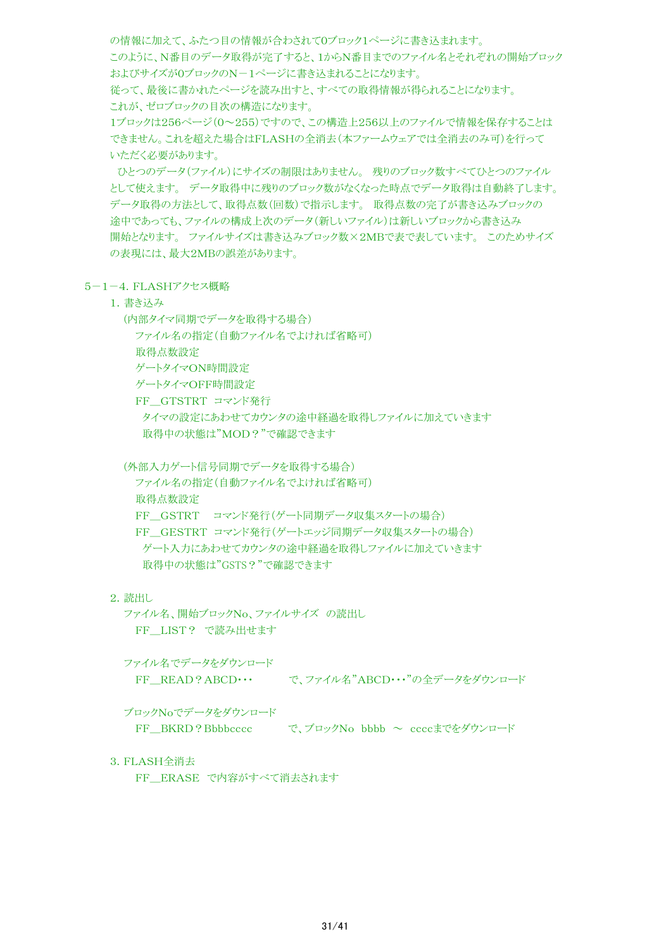の情報に加えて、ふたつ目の情報が合わされて0ブロック1ページに書き込まれます。 このように、N番目のデータ取得が完了すると、1からN番目までのファイル名とそれぞれの開始ブロック およびサイズが0ブロックのN-1ページに書き込まれることになります。 従って、最後に書かれたページを読み出すと、すべての取得情報が得られることになります。 これが、ゼロブロックの目次の構造になります。 1ブロックは256ページ(0~255)ですので、この構造上256以上のファイルで情報を保存することは できません。これを超えた場合はFLASHの全消去(本ファームウェアでは全消去のみ可)を行って いただく必要があります。 ひとつのデータ(ファイル)にサイズの制限はありません。 残りのブロック数すべてひとつのファイル

として使えます。 データ取得中に残りのブロック数がなくなった時点でデータ取得は自動終了します。 データ取得の方法として、取得点数(回数)で指示します。 取得点数の完了が書き込みブロックの 途中であっても、ファイルの構成上次のデータ(新しいファイル)は新しいブロックから書き込み 開始となります。 ファイルサイズは書き込みブロック数×2MBで表で表しています。 このためサイズ の表現には、最大2MBの誤差があります。

# 5-1-4.FLASHアクセス概略

1.書き込み

(内部タイマ同期でデータを取得する場合)

ファイル名の指定(自動ファイル名でよければ省略可)

取得点数設定

ゲートタイマON時間設定

ゲートタイマOFF時間設定

FF GTSTRT コマンド発行 タイマの設定にあわせてカウンタの途中経過を取得しファイルに加えていきます

取得中の状態は"MOD?"で確認できます

(外部入力ゲート信号同期でデータを取得する場合)

ファイル名の指定(自動ファイル名でよければ省略可) 取得点数設定 FF GSTRT コマンド発行(ゲート同期データ収集スタートの場合) FF GESTRT コマンド発行(ゲートエッジ同期データ収集スタートの場合) ゲート入力にあわせてカウンタの途中経過を取得しファイルに加えていきます 取得中の状態は"GSTS?"で確認できます

# 2.読出し

 ファイル名、開始ブロックNo、ファイルサイズ の読出し FF LIST? で読み出せます

ファイル名でデータをダウンロード

FF\_READ?ABCD・・・ で、ファイル名"ABCD・・・"の全データをダウンロード

ブロックNoでデータをダウンロード

FF\_BKRD?Bbbbcccc で、ブロックNo bbbb ~ ccccまでをダウンロード

3.FLASH全消去

FF ERASE で内容がすべて消去されます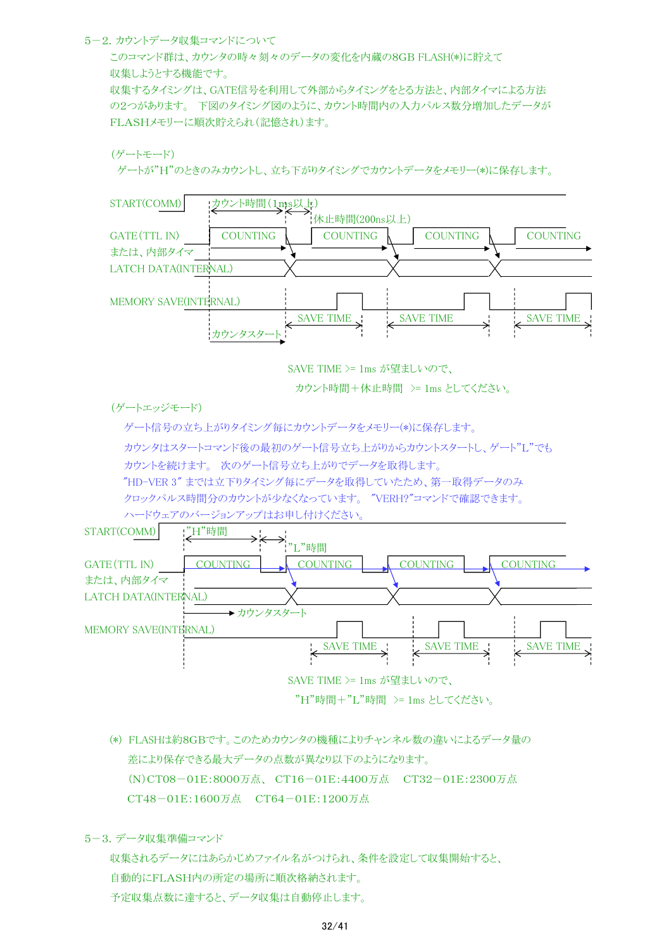#### 5-2.カウントデータ収集コマンドについて

このコマンド群は、カウンタの時々刻々のデータの変化を内蔵の8GB FLASH(\*)に貯えて 収集しようとする機能です。 収集するタイミングは、GATE信号を利用して外部からタイミングをとる方法と、内部タイマによる方法 の2つがあります。 下図のタイミング図のように、カウント時間内の入力パルス数分増加したデータが FLASHメモリーに順次貯えられ(記憶され)ます。

```
(ゲートモード)
```
ゲートが"H"のときのみカウントし、立ち下がりタイミングでカウントデータをメモリー(\*)に保存します。



SAVE TIME >= 1ms が望ましいので、

カウント時間+休止時間 >= 1ms としてください。

(ゲートエッジモード)

 ゲート信号の立ち上がりタイミング毎にカウントデータをメモリー(\*)に保存します。 カウンタはスタートコマンド後の最初のゲート信号立ち上がりからカウントスタートし、ゲート"L"でも カウントを続けます。 次のゲート信号立ち上がりでデータを取得します。

"HD-VER 3" までは立下りタイミング毎にデータを取得していたため、第一取得データのみ

クロックパルス時間分のカウントが少なくなっています。 "VERH?"コマンドで確認できます。

ハードウェアのバージョンアップはお申し付けください。



"H"時間+"L"時間 >= 1ms としてください。

(\*) FLASHは約8GBです。このためカウンタの機種によりチャンネル数の違いによるデータ量の 差により保存できる最大データの点数が異なり以下のようになります。 (N)CT08-01E:8000万点、 CT16-01E:4400万点 CT32-01E:2300万点 CT48-01E:1600万点 CT64-01E:1200万点

5-3.データ収集準備コマンド

収集されるデータにはあらかじめファイル名がつけられ、条件を設定して収集開始すると、 自動的にFLASH内の所定の場所に順次格納されます。 予定収集点数に達すると、データ収集は自動停止します。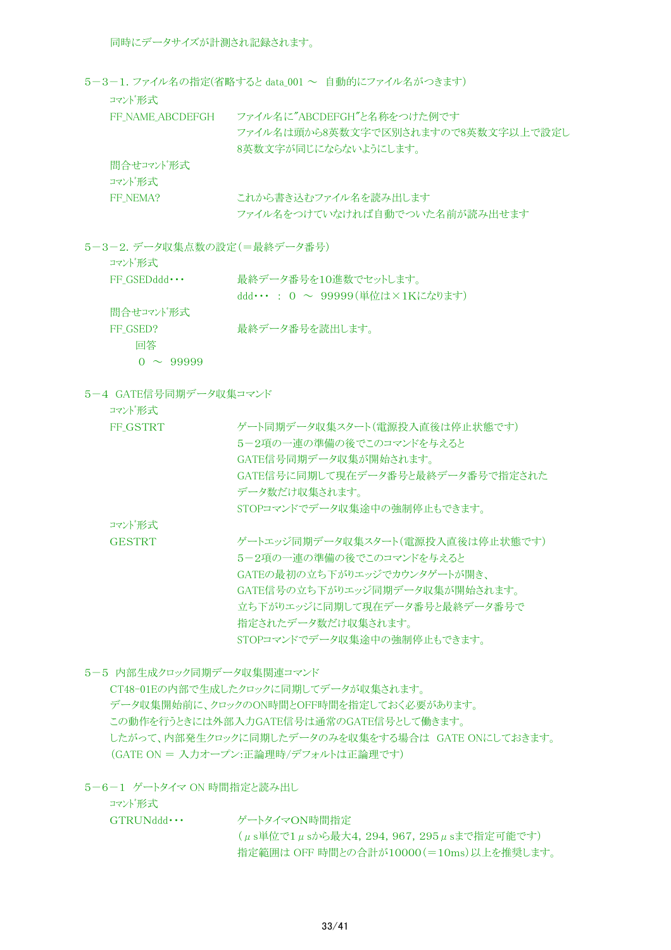同時にデータサイズが計測され記録されます。

 $5-3-1.$  ファイル名の指定(省略すると data 001 ~ 自動的にファイル名がつきます)

コマンド形式

| FF NAME ABCDEFGH    | ファイル名に"ABCDEFGH"と名称をつけた例です<br>ファイル名は頭から8英数文字で区別されますので8英数文字以上で設定し<br>8英数文字が同じにならないようにします。 |
|---------------------|------------------------------------------------------------------------------------------|
| 間合せコマンド形式<br>コマンド形式 |                                                                                          |
| FF NEMA?            | これから書き込むファイル名を読み出します<br>ファイル名をつけていなければ自動でついた名前が読み出せます                                    |

5-3-2.データ収集点数の設定(=最終データ番号)

| コマンド形式 |  |
|--------|--|
|--------|--|

| $FF GSEDddd \cdots$ | 最終データ番号を10進数でセットします。                 |
|---------------------|--------------------------------------|
|                     | ddd・・・ : 0 $\sim$ 99999(単位は×1Kになります) |
| 間合せコマンド形式           |                                      |
| FF GSED?            | 最終データ番号を読出します。                       |
| 同答                  |                                      |
| $0 \sim 99999$      |                                      |

5-4 GATE信号同期データ収集コマンド

コマンド形式

| FF GSTRT      | ゲート同期データ収集スタート(雷源投入直後は停止状熊です)    |
|---------------|----------------------------------|
|               | 5-2項の一連の準備の後でこのコマンドを与えると         |
|               | GATE信号同期データ収集が開始されます。            |
|               | GATE信号に同期して現在データ番号と最終データ番号で指定された |
|               | データ数だけ収集されます。                    |
|               | STOPコマンドでデータ収集涂中の強制停止もできます。      |
| コマンド形式        |                                  |
| <b>GESTRT</b> | ゲートエッジ同期データ収集スタート(雷源投入直後は停止状熊です) |
|               | 5-2項の一連の準備の後でこのコマンドを与えると         |
|               | GATEの最初の立ち下がりエッジでカウンタゲートが開き、     |
|               | GATE信号の立ち下がりエッジ同期データ収集が開始されます。   |
|               | 立ち下がりエッジに同期して現在データ番号と最終データ番号で    |
|               | 指定されたデータ数だけ収集されます。               |
|               | STOPコマンドでデータ収集涂中の強制停止もできます。      |

5-5 内部生成クロック同期データ収集関連コマンド

CT48-01Eの内部で生成したクロックに同期してデータが収集されます。 データ収集開始前に、クロックのON時間とOFF時間を指定しておく必要があります。 この動作を行うときには外部入力GATE信号は通常のGATE信号として働きます。 したがって、内部発生クロックに同期したデータのみを収集をする場合は GATE ONにしておきます。 (GATE ON = 入力オープン:正論理時/デフォルトは正論理です)

5-6-1 ゲートタイマ ON 時間指定と読み出し

コマンド形式 GTRUNddd ··· ゲートタイマON時間指定 (μs単位で1μsから最大4,294,967,295μsまで指定可能です) 指定範囲は OFF 時間との合計が10000(=10ms)以上を推奨します。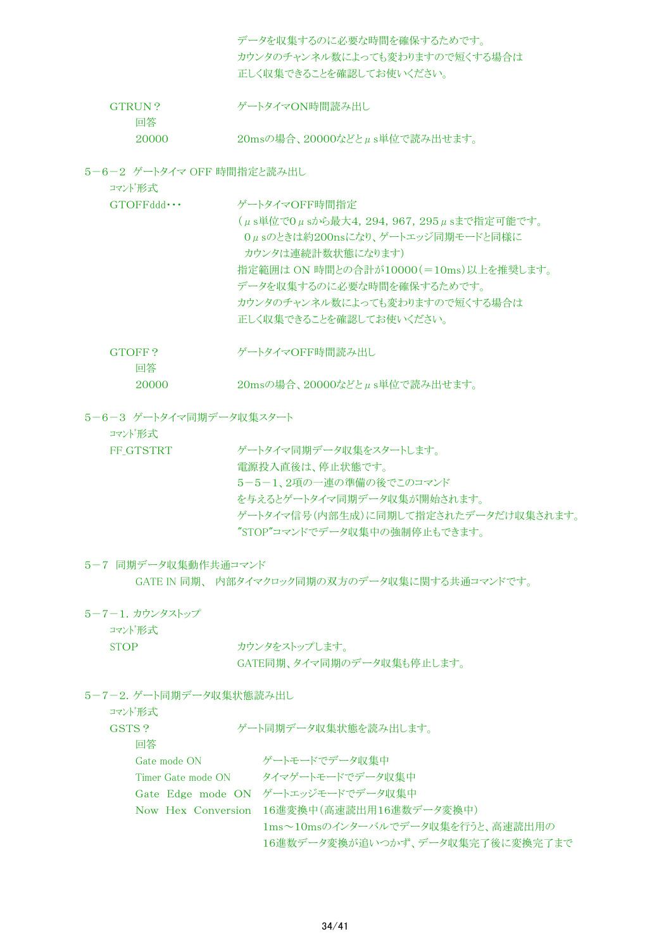データを収集するのに必要な時間を確保するためです。 カウンタのチャンネル数によっても変わりますので短くする場合は 正しく収集できることを確認してお使いください。 GTRUN? ゲートタイマON時間読み出し 回答 20000 20msの場合、20000などとμs単位で読み出せます。

5-6-2 ゲートタイマ OFF 時間指定と読み出し

コマンド形式

| $GTOFFddd \cdots$ | ゲートタイマOFF時間指定                                |
|-------------------|----------------------------------------------|
|                   | (μs単位で0μsから最大4, 294, 967, 295μsまで指定可能です。     |
|                   | 0μsのときは約200nsになり、ゲートエッジ同期モードと同様に             |
|                   | カウンタは連続計数状熊になります)                            |
|                   | 指定範囲は ON 時間との合計が10000(=10ms)以上を推奨します。        |
|                   | データを収集するのに必要な時間を確保するためです。                    |
|                   | カウンタのチャンネル数によっても変わりますので短くする場合は               |
|                   | 正しく収集できることを確認してお使いください。                      |
|                   |                                              |
| GTOFF?            | ゲートタイマOFF時間読み出し                              |
| 回答                |                                              |
| 20000             | $20\text{ms}$ の場合、20000などと $\mu$ s単位で読み出せます。 |
|                   |                                              |

5-6-3 ゲートタイマ同期データ収集スタート

コマンド形式

FF GTSTRT ダートタイマ同期データ収集をスタートします。 電源投入直後は、停止状態です。 5-5-1、2項の一連の準備の後でこのコマンド を与えるとゲートタイマ同期データ収集が開始されます。 ゲートタイマ信号(内部生成)に同期して指定されたデータだけ収集されます。 "STOP"コマンドでデータ収集中の強制停止もできます。

# 5-7 同期データ収集動作共通コマンド

GATE IN 同期、 内部タイマクロック同期の双方のデータ収集に関する共通コマンドです。

5-7-1.カウンタストップ

コマンド形式

STOP カウンタをストップします。 GATE同期、タイマ同期のデータ収集も停止します。

5-7-2.ゲート同期データ収集状態読み出し

コマンド形式

| GSTS ?             | ゲート同期データ収集状態を読み出します。                       |
|--------------------|--------------------------------------------|
| 同答                 |                                            |
| Gate mode ON       | ゲートモードでデータ収集中                              |
| Timer Gate mode ON | タイマゲートモードでデータ収集中                           |
|                    | Gate Edge mode ON ゲートエッジモードでデータ収集中         |
|                    | Now Hex Conversion 16進変換中(高速読出用16進数データ変換中) |
|                    | 1ms~10msのインターバルでデータ収集を行うと、高速読出用の           |
|                    | 16進数データ変換が追いつかず、データ収集完了後に変換完了まで            |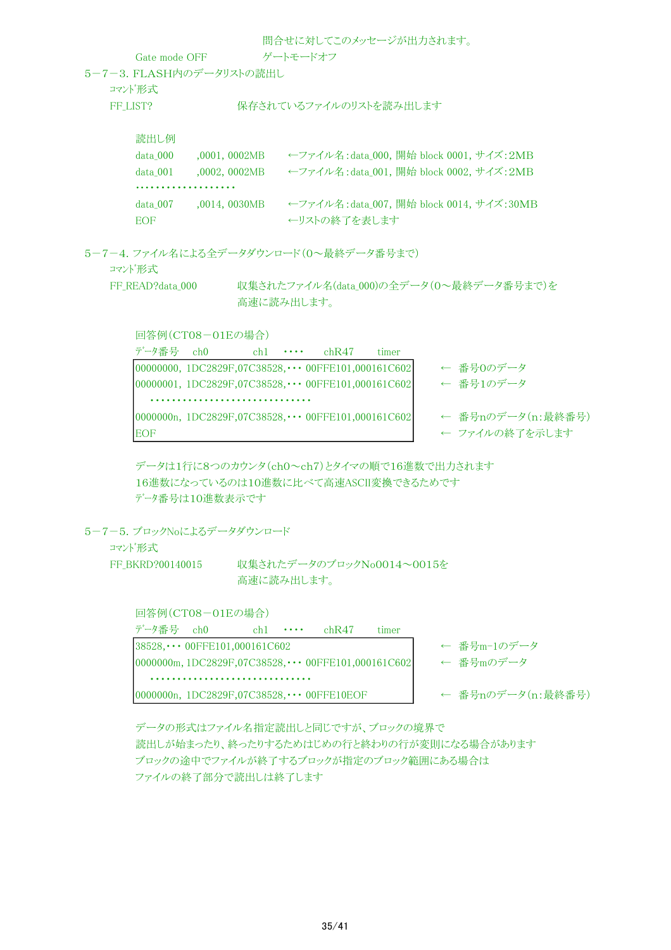問合せに対してこのメッセージが出力されます。

Gate mode OFF ゲートモードオフ 5-7-3.FLASH内のデータリストの読出し

コマンド形式

FF\_LIST? 保存されているファイルのリストを読み出します

読出し例 data 000 ,0001, 0002MB ←ファイル名:data 000, 開始 block 0001, サイズ: 2MB data 001 0002, 0002MB ←ファイル名:data 001, 開始 block 0002, サイズ:2MB ・・・・・・・・・・・・・・・・・・・ data\_007 ,0014, 0030MB ←ファイル名:data\_007, 開始 block 0014, サイズ:30MB EOF ←リストの終了を表します

5-7-4.ファイル名による全データダウンロード(0~最終データ番号まで) コマンド形式

FF\_READ?data\_000 収集されたファイル名(data\_000)の全データ(0~最終データ番号まで)を 高速に読み出します。

回答例(CT08-01Eの場合)

| データ番号 ch0  |                                                           | $ch1 \cdot \cdot \cdot$ | chR47 | timer |                   |
|------------|-----------------------------------------------------------|-------------------------|-------|-------|-------------------|
|            | 00000000, 1DC2829F,07C38528, $\cdots$ 00FFE101,000161C602 |                         |       |       | ← 番号0のデータ         |
|            | 00000001, 1DC2829F,07C38528, $\cdots$ 00FFE101,000161C602 |                         |       |       | ← 番号1のデータ         |
|            |                                                           |                         |       |       |                   |
|            | 0000000n, 1DC2829F,07C38528, $\cdots$ 00FFE101,000161C602 |                         |       |       | ← 番号nのデータ(n:最終番号) |
| <b>EOF</b> |                                                           |                         |       |       | ← ファイルの終了を示します    |

データは1行に8つのカウンタ(ch0~ch7)とタイマの順で16進数で出力されます 16進数になっているのは10進数に比べて高速ASCII変換できるためです データ番号は10進数表示です

5-7-5.ブロックNoによるデータダウンロード

コマンド形式

FF BKRD?00140015 収集されたデータのブロックNo0014~0015を 高速に読み出します。

回答例(CT08-01Eの場合)

| データ番号 ch0                                                   | $ch1 \cdots$ | chR47 | timer |                   |
|-------------------------------------------------------------|--------------|-------|-------|-------------------|
| $38528, \cdots 00$ FFE101,000161C602                        |              |       |       | ← 番号m-1のデータ       |
| 0000000m, 1DC2829F, 07C38528, $\cdots$ 00FFE101, 000161C602 |              |       |       | ← 番号mのデータ         |
|                                                             |              |       |       |                   |
| 0000000n, $1DC2829F,07C38528,\cdots$ 00FFE10EOF             |              |       |       | ← 番号nのデータ(n:最終番号) |

データの形式はファイル名指定読出しと同じですが、ブロックの境界で 読出しが始まったり、終ったりするためはじめの行と終わりの行が変則になる場合があります ブロックの途中でファイルが終了するブロックが指定のブロック範囲にある場合は ファイルの終了部分で読出しは終了します。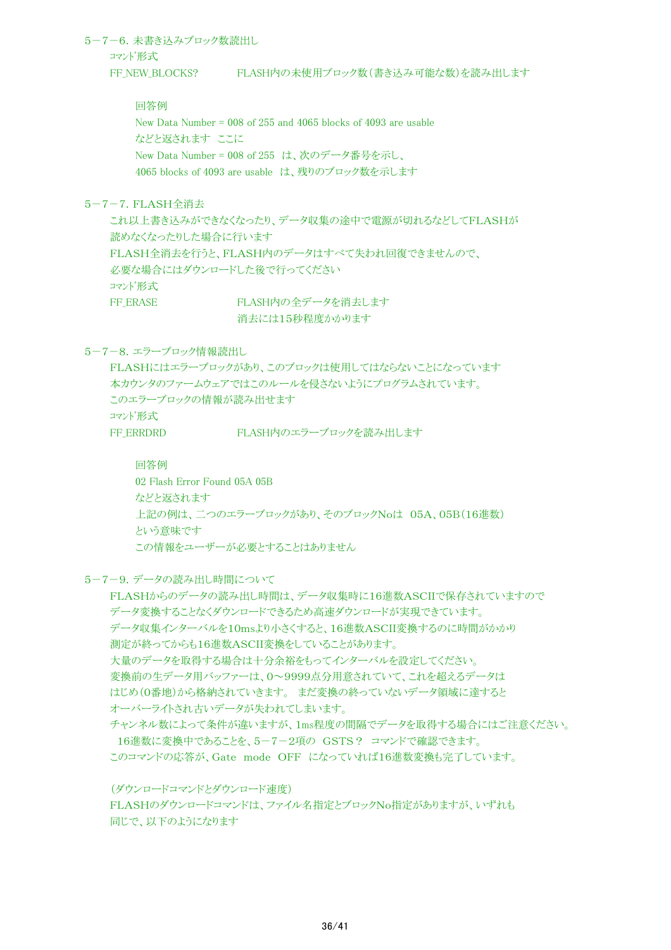5-7-6.未書き込みブロック数読出し コマンド形式 FF\_NEW\_BLOCKS? FLASH内の未使用ブロック数(書き込み可能な数)を読み出します

> 回答例 New Data Number = 008 of 255 and 4065 blocks of 4093 are usable などと返されます ここに New Data Number = 008 of 255 は、次のデータ番号を示し、 4065 blocks of 4093 are usable は、残りのブロック数を示します

5-7-7.FLASH全消去

これ以上書き込みができなくなったり、データ収集の途中で電源が切れるなどしてFLASHが 読めなくなったりした場合に行います FLASH全消去を行うと、FLASH内のデータはすべて失われ回復できませんので、 必要な場合にはダウンロードした後で行ってください コマンド形式 FF ERASE FLASH内の全データを消去します

消去には15秒程度かかります

5-7-8. エラーブロック情報読出し

```
FLASHにはエラーブロックがあり、このブロックは使用してはならないことになっています
本カウンタのファームウェアではこのルールを侵さないようにプログラムされています。
このエラーブロックの情報が読み出せます
コマンド形式
FF ERRDRD FLASH内のエラーブロックを読み出します
```
回答例

02 Flash Error Found 05A 05B などと返されます 上記の例は、二つのエラーブロックがあり、そのブロックNoは 05A、05B(16進数) という意味です この情報をユーザーが必要とすることはありません

5-7-9.データの読み出し時間について

FLASHからのデータの読み出し時間は、データ収集時に16進数ASCIIで保存されていますので データ変換することなくダウンロードできるため高速ダウンロードが実現できています。 データ収集インターバルを10msより小さくすると、16進数ASCII変換するのに時間がかかり 測定が終ってからも16進数ASCII変換をしていることがあります。 大量のデータを取得する場合は十分余裕をもってインターバルを設定してください。 変換前の生データ用バッファーは、0~9999点分用意されていて、これを超えるデータは はじめ(0番地)から格納されていきます。 まだ変換の終っていないデータ領域に達すると オーバーライトされ古いデータが失われてしまいます。 チャンネル数によって条件が違いますが、1ms程度の間隔でデータを取得する場合にはご注意ください。 16進数に変換中であることを、5-7-2項の GSTS? コマンドで確認できます。 このコマンドの応答が、Gate mode OFF になっていれば16進数変換も完了しています。

(ダウンロードコマンドとダウンロード速度) FLASHのダウンロードコマンドは、ファイル名指定とブロックNo指定がありますが、いずれも 同じで、以下のようになります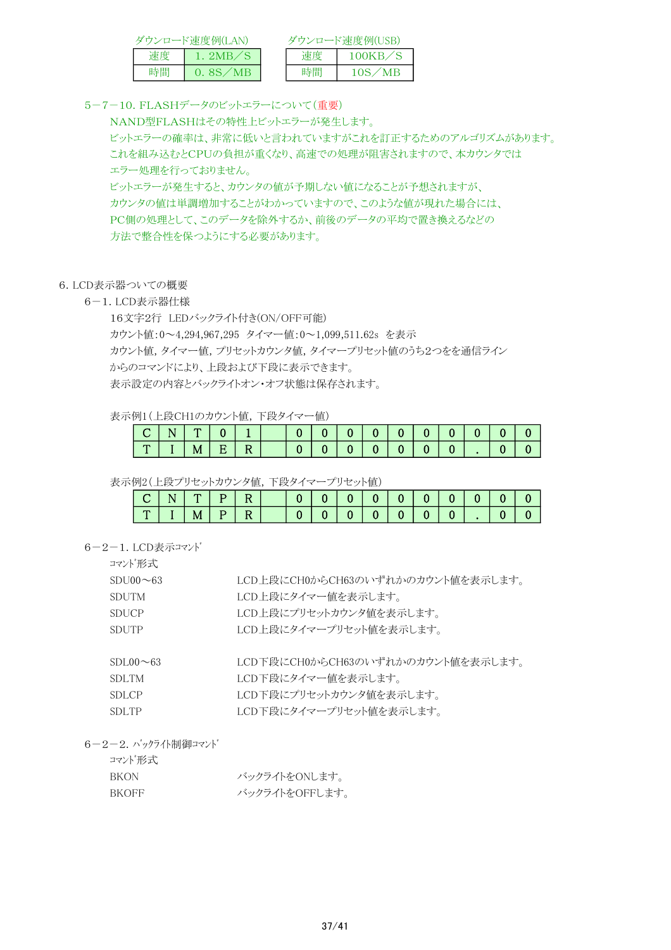|    | ダウンロード速度例(LAN) |    | ダウンロード速度例(USB)       |
|----|----------------|----|----------------------|
| 速度 | 1. 2MB.        | 谏度 | 100KB/S              |
| 時間 | 0. 8S/MB       | 時間 | $\sim$ MP $-$<br>10S |

5-7-10.FLASHデータのビットエラーについて(重要)

NAND型FLASHはその特性上ビットエラーが発生します。 ビットエラーの確率は、非常に低いと言われていますがこれを訂正するためのアルゴリズムがあります。 これを組み込むとCPUの負担が重くなり、高速での処理が阻害されますので、本カウンタでは エラー処理を行っておりません。 ビットエラーが発生すると、カウンタの値が予期しない値になることが予想されますが、 カウンタの値は単調増加することがわかっていますので、このような値が現れた場合には、

PC側の処理として、このデータを除外するか、前後のデータの平均で置き換えるなどの 方法で整合性を保つようにする必要があります。

# 6.LCD表示器ついての概要

# 6-1.LCD表示器仕様

16文字2行 LEDバックライト付き(ON/OFF可能)

カウント値:0~4,294,967,295 タイマー値:0~1,099,511.62s を表示

カウント値,タイマー値,プリセットカウンタ値,タイマープリセット値のうち2つをを通信ライン

からのコマンドにより、上段および下段に表示できます。

表示設定の内容とバックライトオン・オフ状態は保存されます。

# 表示例1(上段CH1のカウント値,下段タイマー値)

| .            |   |   |   |   |  |  |                |                |      |  |  |
|--------------|---|---|---|---|--|--|----------------|----------------|------|--|--|
| $\sim$<br>ັ  | N |   |   |   |  |  | 0 <sup>1</sup> | 0 <sup>1</sup> | 70 L |  |  |
| $\mathbf{r}$ |   | M | E | R |  |  |                | $\mathbf{0}$   |      |  |  |

表示例2(上段プリセットカウンタ値,下段タイマープリセット値)

|  |   | PI |  |  |  | 0 <sub>1</sub> | $\mathbf{U}$ $\mathbf{I}$ |  |
|--|---|----|--|--|--|----------------|---------------------------|--|
|  | М | P. |  |  |  |                |                           |  |

6-2-1.LCD表示コマンド

| コマンド形式          |                                   |
|-----------------|-----------------------------------|
| $SDU00 \sim 63$ | LCD上段にCH0からCH63のいずれかのカウント値を表示します。 |
| <b>SDUTM</b>    | LCD上段にタイマー値を表示します。                |
| <b>SDUCP</b>    | LCD上段にプリセットカウンタ値を表示します。           |
| <b>SDUTP</b>    | LCD上段にタイマープリセット値を表示します。           |
|                 |                                   |
| $SDL00 \sim 63$ | LCD下段にCH0からCH63のいずれかのカウント値を表示します。 |
| SDLTM.          | LCD下段にタイマー値を表示します。                |
| SDLCP           | LCD下段にプリセットカウンタ値を表示します。           |

SDLTP LCD下段にタイマープリセット値を表示します。

6-2-2.バックライト制御コマンド

| コマンド形式       |                |
|--------------|----------------|
| <b>RKON</b>  | バックライトをONします。  |
| <b>BKOFF</b> | バックライトをOFFします。 |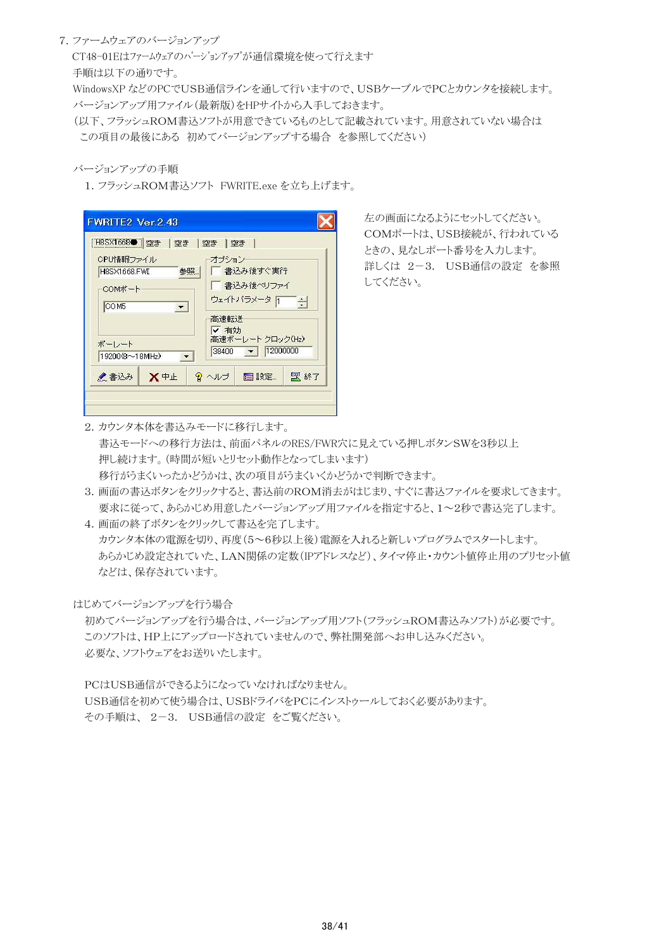# 7.ファームウェアのバージョンアップ

 CT48-01Eはファームウェアのバージョンアップが通信環境を使って行えます 手順は以下の通りです。

 WindowsXP などのPCでUSB通信ラインを通して行いますので、USBケーブルでPCとカウンタを接続します。 バージョンアップ用ファイル(最新版)をHPサイトから入手しておきます。

 (以下、フラッシュROM書込ソフトが用意できているものとして記載されています。用意されていない場合は この項目の最後にある 初めてバージョンアップする場合 を参照してください)

#### バージョンアップの手順

1.フラッシュROM書込ソフト FWRITE.exe を立ち上げます。

| [H8SX1668●   空き   空き   空き   空き |                                                                 |
|--------------------------------|-----------------------------------------------------------------|
| CPU情報ファイル                      | オブション                                                           |
| H8SX1668.FWI<br>参照』            | □ 書込み後すぐ実行                                                      |
| COMボート                         | 書込み後ペリファイ                                                       |
| COM5<br>$\vert$                | ウェイトバラメータ「<br>$\frac{1}{\sqrt{2}}$                              |
| ボーレート<br>19200(8~18MHz)        | 高速転送<br>✔ 有効<br>高速ボーレート クロック(Hz)<br>$\bullet$ 12000000<br>38400 |
| ●書込み<br>Ⅹ中止                    | 9 ヘルプ<br>- 目 設定…<br>5 終了                                        |

左の画面になるようにセットしてください。 COMポートは、USB接続が、行われている ときの、見なしポート番号を入力します。 詳しくは 2-3. USB通信の設定 を参照 してください。

2.カウンタ本体を書込みモードに移行します。 書込モードへの移行方法は、前面パネルのRES/FWR穴に見えている押しボタンSWを3秒以上 押し続けます。(時間が短いとリセット動作となってしまいます) 移行がうまくいったかどうかは、次の項目がうまくいくかどうかで判断できます。

- 3.画面の書込ボタンをクリックすると、書込前のROM消去がはじまり、すぐに書込ファイルを要求してきます。 要求に従って、あらかじめ用意したバージョンアップ用ファイルを指定すると、1~2秒で書込完了します。
- 4.画面の終了ボタンをクリックして書込を完了します。 カウンタ本体の電源を切り、再度(5~6秒以上後)電源を入れると新しいプログラムでスタートします。 あらかじめ設定されていた、LAN関係の定数(IPアドレスなど)、タイマ停止・カウント値停止用のプリセット値 などは、保存されています。

はじめてバージョンアップを行う場合

初めてバージョンアップを行う場合は、バージョンアップ用ソフト(フラッシュROM書込みソフト)が必要です。 このソフトは、HP上にアップロードされていませんので、弊社開発部へお申し込みください。 必要な、ソフトウェアをお送りいたします。

PCはUSB通信ができるようになっていなければなりません。 USB通信を初めて使う場合は、USBドライバをPCにインストゥールしておく必要があります。 その手順は、 2-3. USB通信の設定 をご覧ください。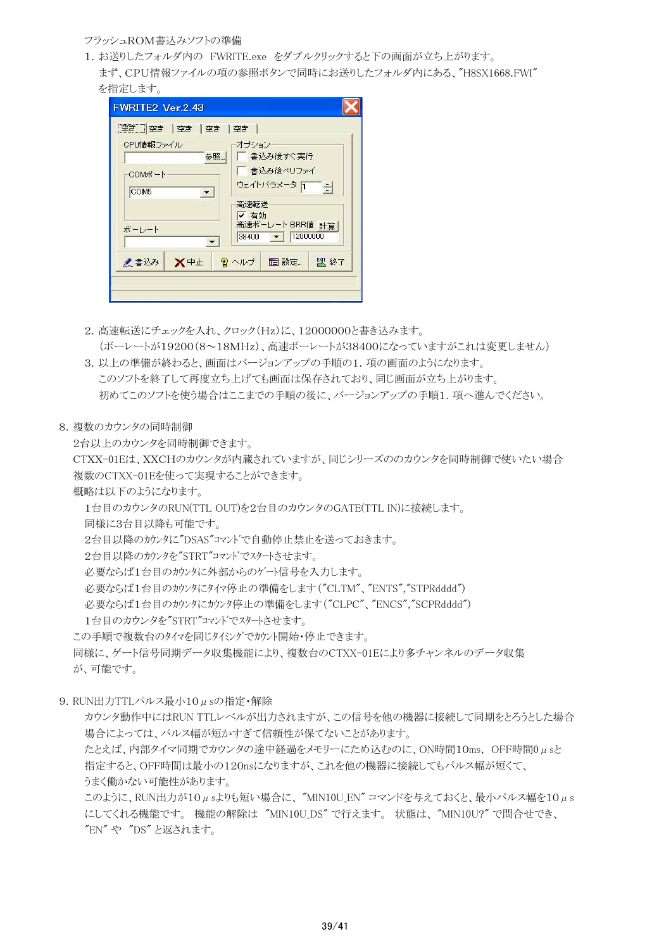# フラッシュROM書込みソフトの準備

1.お送りしたフォルダ内の FWRITE.exe をダブルクリックすると下の画面が立ち上がります。 まず、CPU情報ファイルの項の参照ボタンで同時にお送りしたフォルダ内にある、"H8SX1668.FWI" を指定します。

| CPU情報ファイル            | オブション                                                                       |
|----------------------|-----------------------------------------------------------------------------|
| 参照                   | 書込み後すぐ実行                                                                    |
| COMボート               | 書込み後ペリファイ                                                                   |
| COM <sub>5</sub>     | ウェイトバラメータ 日                                                                 |
| $\blacktriangledown$ | $\equiv$                                                                    |
| ボーレート                | 高速転送<br>✔ 有効<br>高速ボーレート BRR値 計算<br>12000000<br>38400<br>$\vert \cdot \vert$ |

- 2.高速転送にチェックを入れ、クロック(Hz)に、12000000と書き込みます。 (ボーレートが19200(8~18MHz)、高速ボーレートが38400になっていますがこれは変更しません)
- 3. 以上の準備が終わると、画面はバージョンアップの手順の1. 項の画面のようになります。 このソフトを終了して再度立ち上げても画面は保存されており、同じ画面が立ち上がります。 初めてこのソフトを使う場合はここまでの手順の後に、バージョンアップの手順1.項へ進んでください。
- 8.複数のカウンタの同時制御

2台以上のカウンタを同時制御できます。

 CTXX-01Eは、XXCHのカウンタが内蔵されていますが、同じシリーズののカウンタを同時制御で使いたい場合 複数のCTXX-01Eを使って実現することができます。

概略は以下のようになります。

1台目のカウンタのRUN(TTL OUT)を2台目のカウンタのGATE(TTL IN)に接続します。

同様に3台目以降も可能です。

2台目以降のカウンタに"DSAS"コマンドで自動停止禁止を送っておきます。

2台目以降のカウンタを"STRT"コマンドでスタートさせます。

必要ならば1台目のカウンタに外部からのゲート信号を入力します。

必要ならば1台目のカウンタにタイマ停止の準備をします("CLTM"、"ENTS","STPRdddd")

必要ならば1台目のカウンタにカウンタ停止の準備をします("CLPC"、"ENCS","SCPRdddd")

1台目のカウンタを"STRT"コマンドでスタートさせます。

この手順で複数台のタイマを同じタイシグでカウント開始・停止できます。

 同様に、ゲート信号同期データ収集機能により、複数台のCTXX-01Eにより多チャンネルのデータ収集 が、可能です。

9. RUN出力TTLパルス最小10μsの指定·解除

カウンタ動作中にはRUN TTLレベルが出力されますが、この信号を他の機器に接続して同期をとろうとした場合 場合によっては、パルス幅が短かすぎて信頼性が保てないことがあります。

たとえば、内部タイマ同期でカウンタの途中経過をメモリーにため込むのに、ON時間10ms, OFF時間0μsと 指定すると、OFF時間は最小の120nsになりますが、これを他の機器に接続してもパルス幅が短くて、 うまく働かない可能性があります。

このように、RUN出力が10μsよりも短い場合に、"MIN10U EN" コマンドを与えておくと、最小パルス幅を10μs にしてくれる機能です。 機能の解除は "MIN10U DS" で行えます。 状態は、"MIN10U?" で問合せでき、 "EN" や "DS" と返されます。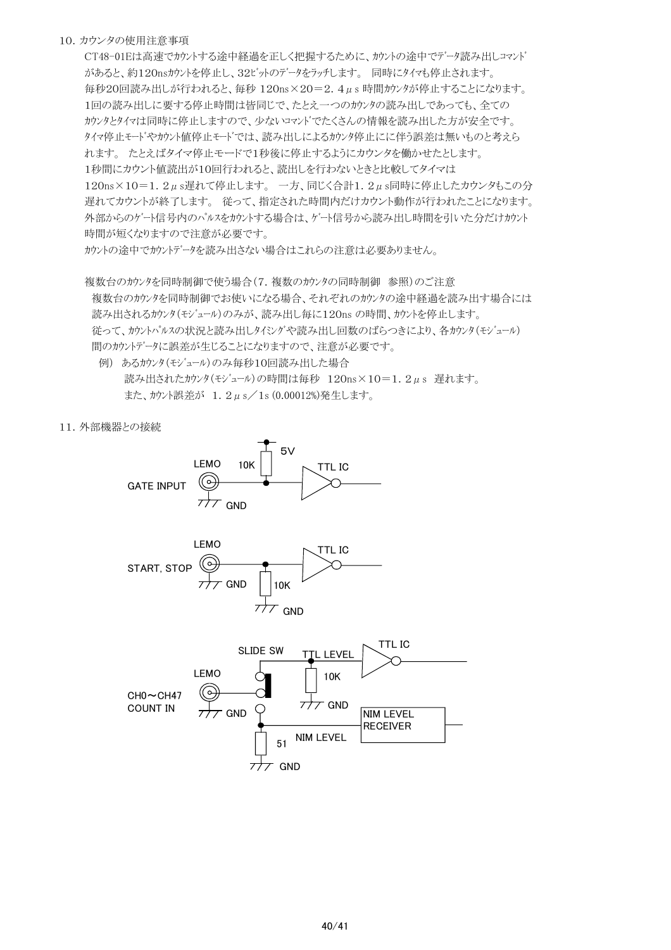# 10.カウンタの使用注意事項

CT48-01Eは高速でカウントする途中経過を正しく把握するために、カウントの途中でデータ読み出しコマンド があると、約120nsカウントを停止し、32ビットのデータをラッチします。 同時にタイマも停止されます。 毎秒20回読み出しが行われると、毎秒 120ns×20=2.4μs 時間カウンタが停止することになります。 1回の読み出しに要する停止時間は皆同じで、たとえ一つのカウンタの読み出しであっても、全ての カウンタとタイマは同時に停止しますので、少ないコマンドでたくさんの情報を読み出した方が安全です。 タイマ停止モードやカウント値停止モードでは、読み出しによるカウンタ停止にに伴う誤差は無いものと考えら れます。 たとえばタイマ停止モードで1秒後に停止するようにカウンタを働かせたとします。 1秒間にカウント値読出が10回行われると、読出しを行わないときと比較してタイマは 120ns×10=1.2μs遅れて停止します。 一方、同じく合計1.2μs同時に停止したカウンタもこの分 遅れてカウントが終了します。 従って、指定された時間内だけカウント動作が行われたことになります。 外部からのゲート信号内のパルスをカウントする場合は、ゲート信号から読み出し時間を引いた分だけカウント 時間が短くなりますので注意が必要です。

カウントの途中でカウントデータを読み出さない場合はこれらの注意は必要ありません。

複数台のカウンタを同時制御で使う場合(7.複数のカウンタの同時制御 参照)のご注意 複数台のカウンタを同時制御でお使いになる場合、それぞれのカウンタの途中経過を読み出す場合には 読み出されるカウンタ(モジュール)のみが、読み出し毎に120ns の時間、カウントを停止します。 従って、カウントパルスの状況と読み出しタイシグや読み出し回数のばらつきにより、各カウンタ(モジュール) 間のカウントデータに誤差が生じることになりますので、注意が必要です。

 例) あるカウンタ(モジュール)のみ毎秒10回読み出した場合 読み出されたカウンタ(モジュール)の時間は毎秒 120ns×10=1.2μs 遅れます。 また、カウント誤差が 1.2μs/1s (0.00012%)発生します。

#### 11.外部機器との接続





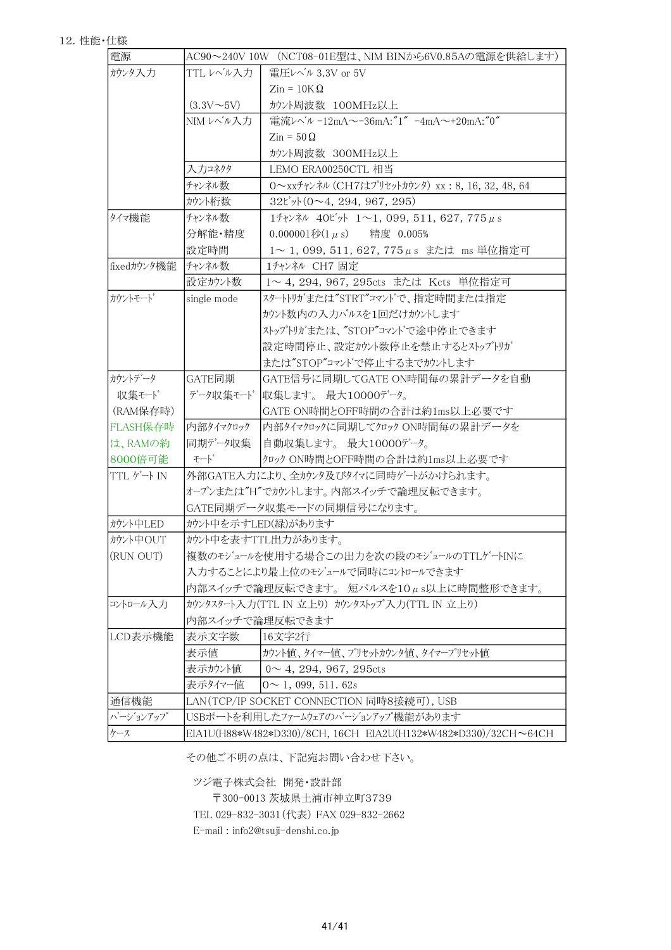| 電源          |                                           | AC90~240V 10W (NCT08-01E型は、NIM BINから6V0.85Aの電源を供給します)                                                                 |  |  |
|-------------|-------------------------------------------|-----------------------------------------------------------------------------------------------------------------------|--|--|
| カウンタ入力      | TTL レベル入力                                 | 電圧レベル 3.3V or 5V                                                                                                      |  |  |
|             |                                           | $\mathrm{Zin} = 10\mathrm{K}\,\Omega$                                                                                 |  |  |
|             | $(3.3V\sim5V)$                            | カウント周波数 100MHz以上                                                                                                      |  |  |
|             | NIMレベル入力                                  | 電流レベル -12mA~-36mA:"1" -4mA~+20mA:"0"                                                                                  |  |  |
|             |                                           | $\mathrm{Zin} = 50 \Omega$                                                                                            |  |  |
|             |                                           | カウント周波数 300MHz以上                                                                                                      |  |  |
|             | 入力コネクタ                                    | LEMO ERA00250CTL 相当                                                                                                   |  |  |
|             | チャンネル数                                    | 0~xxチャンネル (CH7はプリセットカウンタ) xx: 8, 16, 32, 48, 64                                                                       |  |  |
|             | カウント桁数                                    | $32^{\circ}$ ył (0~4, 294, 967, 295)                                                                                  |  |  |
| タイマ機能       | チャンネル数                                    | 17+ $\nu$ <sup>2</sup> $\nu$ 40 <sup><math>\nu</math></sup> $\nu$ <sup>1</sup> 1 $\sim$ 1, 099, 511, 627, 775 $\mu$ s |  |  |
|             | 分解能・精度                                    | 0.000001秒 $(1 \mu s)$ 精度 0.005%                                                                                       |  |  |
|             | 設定時間                                      | 1~1,099,511,627,775μs または ms 単位指定可                                                                                    |  |  |
| fixedカウンタ機能 | チャンネル数                                    | 1チャンネル CH7 固定                                                                                                         |  |  |
|             | 設定カウント数                                   | 1~4, 294, 967, 295cts または Kcts 単位指定可                                                                                  |  |  |
| カウントモート     | single mode                               | スタートリガまたは"STRT"コマントで、指定時間または指定                                                                                        |  |  |
|             |                                           | カウント数内の入力パルスを1回だけカウントします                                                                                              |  |  |
|             |                                           | ストップトリガまたは、"STOP"コマントで途中停止できます                                                                                        |  |  |
|             |                                           | 設定時間停止、設定カウント数停止を禁止するとストップトリガ                                                                                         |  |  |
|             |                                           | または"STOP"コマントで停止するまでカウントします                                                                                           |  |  |
| カウントデータ     | GATE同期                                    | GATE信号に同期してGATE ON時間毎の累計データを自動                                                                                        |  |  |
| 収集モード       | データ収集モード                                  | 収集します。 最大10000データ。                                                                                                    |  |  |
| (RAM保存時)    |                                           | GATE ON時間とOFF時間の合計は約1ms以上必要です                                                                                         |  |  |
| FLASH保存時    | 内部タイマクロック                                 | 内部タイマクロックに同期してクロック ON時間毎の累計データを                                                                                       |  |  |
| は、RAMの約     | 同期データ収集                                   | 自動収集します。 最大10000データ。                                                                                                  |  |  |
| 8000倍可能     | モート゛                                      | クロック ON時間とOFF時間の合計は約1ms以上必要です                                                                                         |  |  |
| TTL ゲート IN  |                                           | 外部GATE入力により、全カウンタ及びタイマに同時ゲートがかけられます。                                                                                  |  |  |
|             |                                           | オープンまたは"H"でカウントします。内部スイッチで論理反転できます。                                                                                   |  |  |
|             |                                           | GATE同期データ収集モードの同期信号になります。                                                                                             |  |  |
| カウント中LED    | カウント中を示すLED(緑)があります                       |                                                                                                                       |  |  |
| カウント中OUT    | かソト中を表すTTL出力があります。                        |                                                                                                                       |  |  |
| (RUN OUT)   |                                           | 複数のモジュールを使用する場合この出力を次の段のモジュールのTTLゲートINに                                                                               |  |  |
|             |                                           | 入力することにより最上位のモジュールで同時にコントロールできます                                                                                      |  |  |
|             |                                           | 内部スイッチで論理反転できます。短パルスを10μs以上に時間整形できます。                                                                                 |  |  |
| コントロール入力    |                                           | カウンタスタート入力(TTL IN 立上り) カウンタストップ入力(TTL IN 立上り)                                                                         |  |  |
|             |                                           | 内部スイッチで論理反転できます                                                                                                       |  |  |
| LCD表示機能     | 表示文字数                                     | 16文字2行                                                                                                                |  |  |
|             | 表示値                                       | カウント値、タイマー値、プリセットカウンタ値、タイマープリセット値                                                                                     |  |  |
|             | 表示カウント値                                   | $0 \sim 4$ , 294, 967, 295cts                                                                                         |  |  |
|             | 表示タイマー値                                   | $0 \sim 1, 099, 511.62s$                                                                                              |  |  |
| 通信機能        | LAN(TCP/IP SOCKET CONNECTION 同時8接続可), USB |                                                                                                                       |  |  |
| バージョンアップ    | USBポートを利用したファームウェアのハージョンアップ機能があります        |                                                                                                                       |  |  |
| ケース         |                                           | EIA1U(H88*W482*D330)/8CH, 16CH EIA2U(H132*W482*D330)/32CH~64CH                                                        |  |  |

その他ご不明の点は、下記宛お問い合わせ下さい。

ツジ電子株式会社 開発・設計部

〒300-0013 茨城県土浦市神立町3739

TEL 029-832-3031(代表) FAX 029-832-2662

E-mail : info2@tsuji-denshi.co.jp